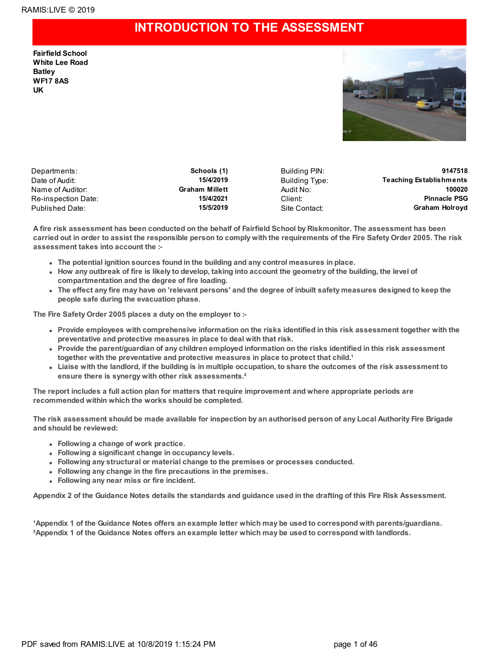### **INTRODUCTION TO THE ASSESSMENT**

**Fairfield School White Lee Road Batley WF17 8AS UK**



Departments: **Schools (1)** Building PIN: **9147518** Date of Audit: **15/4/2019 Building Type:** Teaching Establishments Name of Auditor: **Graham Millett** Audit No: **100020** Re-inspection Date: **15/4/2021** Client: **Pinnacle PSG** Published Date: **15/5/2019** Site Contact: **Graham Holroyd**

A fire risk assessment has been conducted on the behalf of Fairfield School by Riskmonitor. The assessment has been carried out in order to assist the responsible person to comply with the requirements of the Fire Safety Order 2005. The risk **assessment takes into account the :-**

- **The potential ignition sources found in the building and any control measures in place.**
- How any outbreak of fire is likely to develop, taking into account the geometry of the building, the level of **compartmentation and the degree of fire loading.**
- The effect any fire may have on 'relevant persons' and the degree of inbuilt safety measures designed to keep the **people safe during the evacuation phase.**

**The Fire Safety Order 2005 places a duty on the employer to :-**

- Provide employees with comprehensive information on the risks identified in this risk assessment together with the **preventative and protective measures in place to deal with that risk.**
- **Provide the parent/guardian of any children employed information on the risks identified in this risk assessment together with the preventative and protective measures in place to protect that child.¹**
- Liaise with the landlord, if the building is in multiple occupation, to share the outcomes of the risk assessment to **ensure there is synergy with other risk assessments.²**

The report includes a full action plan for matters that require improvement and where appropriate periods are **recommended within which the works should be completed.**

The risk assessment should be made available for inspection by an authorised person of any Local Authority Fire Brigade **and should be reviewed:**

- **Following a change of work practice.**
- **Following a significant change in occupancy levels.**
- **Following any structural or material change to the premises or processes conducted.**
- **Following any change in the fire precautions in the premises.**
- **Following any near miss or fire incident.**

Appendix 2 of the Guidance Notes details the standards and guidance used in the drafting of this Fire Risk Assessment.

1Appendix 1 of the Guidance Notes offers an example letter which may be used to correspond with parents/guardians. <sup>2</sup>Appendix 1 of the Guidance Notes offers an example letter which may be used to correspond with landlords.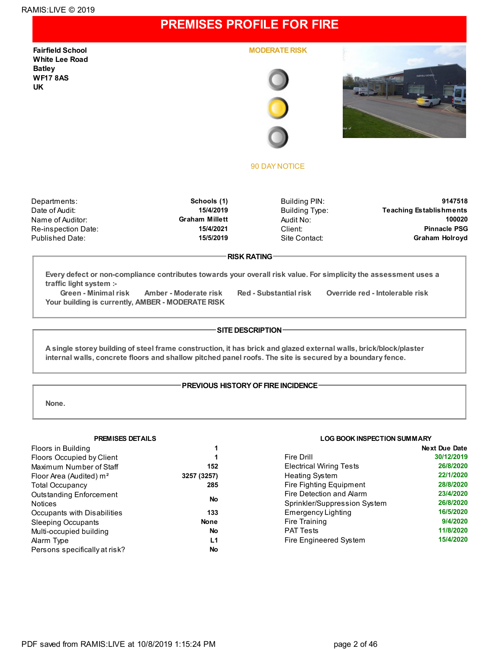### **PREMISES PROFILE FOR FIRE**

**Fairfield School White Lee Road Batley WF17 8AS UK**

**MODERATE RISK**





#### 90 DAY NOTICE

Re-inspection Date: **15/4/2021** Client:

Departments: **Schools (1)** Building PIN: **9147518** Date of Audit: **15/4/2019 Building Type:** Teaching Establishments Name of Auditor: **100020**<br>Re-inspection Date: **15/4/2021 Graham Millett** Audit No: **15/4/2021 Client:** 15/4/2021 Published Date: **15/5/2019** Site Contact: **Graham Holroyd**

#### **RISK RATING**

**Every defect or non-compliance contributes towards your overall risk value. For simplicity the assessment uses a traffic light system :-**

**Green - Minimal risk Amber - Moderate risk Red - Substantial risk Override red - Intolerable risk Your building is currently, AMBER - MODERATE RISK**

#### **SITE DESCRIPTION**

A single storey building of steel frame construction, it has brick and glazed external walls, brick/block/plaster **internal walls, concrete floors and shallow pitched panel roofs. The site is secured by a boundary fence.**

#### **PREVIOUS HISTORY OF FIRE INCIDENCE-**

**None.**

| Floors in Building                  | 1           |
|-------------------------------------|-------------|
| <b>Floors Occupied by Client</b>    | 1           |
| Maximum Number of Staff             | 152         |
| Floor Area (Audited) m <sup>2</sup> | 3257 (3257) |
| <b>Total Occupancy</b>              | 285         |
| <b>Outstanding Enforcement</b>      | No          |
| <b>Notices</b>                      |             |
| Occupants with Disabilities         | 133         |
| <b>Sleeping Occupants</b>           | <b>None</b> |
| Multi-occupied building             | No          |
| Alarm Type                          | L1          |
| Persons specifically at risk?       | No          |

#### **PREMISES DETAILS LOG BOOK INSPECTION SUMMARY**

|                                | <b>Next Due Date</b> |
|--------------------------------|----------------------|
| Fire Drill                     | 30/12/2019           |
| <b>Electrical Wiring Tests</b> | 26/8/2020            |
| <b>Heating System</b>          | 22/1/2020            |
| Fire Fighting Equipment        | 28/8/2020            |
| Fire Detection and Alarm       | 23/4/2020            |
| Sprinkler/Suppression System   | 26/8/2020            |
| Emergency Lighting             | 16/5/2020            |
| Fire Training                  | 9/4/2020             |
| <b>PAT Tests</b>               | 11/8/2020            |
| Fire Engineered System         | 15/4/2020            |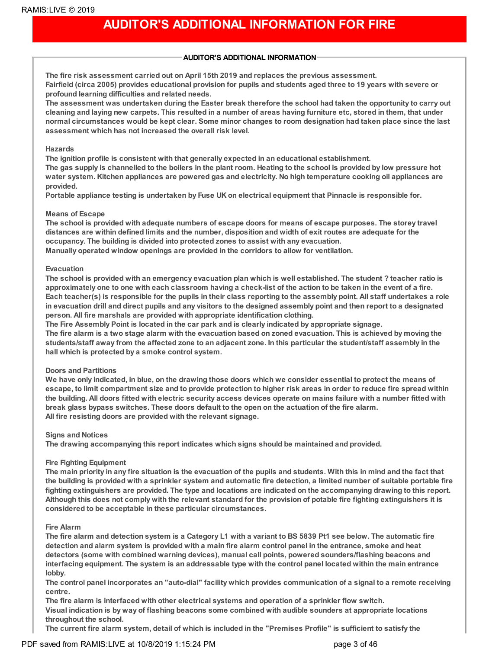## **AUDITOR'S ADDITIONAL INFORMATION FOR FIRE**

### **AUDITOR'S ADDITIONAL INFORMATION**

**The fire risk assessment carried out on April 15th 2019 and replaces the previous assessment.** Fairfield (circa 2005) provides educational provision for pupils and students aged three to 19 years with severe or **profound learning difficulties and related needs.**

The assessment was undertaken during the Easter break therefore the school had taken the opportunity to carry out cleaning and laying new carpets. This resulted in a number of areas having furniture etc, stored in them, that under normal circumstances would be kept clear. Some minor changes to room designation had taken place since the last **assessment which has not increased the overall risk level.**

#### **Hazards**

**The ignition profile is consistent with that generally expected in an educational establishment.** The gas supply is channelled to the boilers in the plant room. Heating to the school is provided by low pressure hot **water system. Kitchen appliances are powered gas and electricity. No high temperature cooking oil appliances are provided.**

**Portable appliance testing is undertaken by Fuse UK on electrical equipment that Pinnacle is responsible for.**

### **Means of Escape**

The school is provided with adequate numbers of escape doors for means of escape purposes. The storey travel distances are within defined limits and the number, disposition and width of exit routes are adequate for the **occupancy. The building is divided into protected zones to assist with any evacuation. Manually operated window openings are provided in the corridors to allow for ventilation.**

#### **Evacuation**

The school is provided with an emergency evacuation plan which is well established. The student ? teacher ratio is approximately one to one with each classroom having a check-list of the action to be taken in the event of a fire. Each teacher(s) is responsible for the pupils in their class reporting to the assembly point. All staff undertakes a role in evacuation drill and direct pupils and any visitors to the designed assembly point and then report to a designated **person. All fire marshals are provided with appropriate identification clothing.**

**The Fire Assembly Point is located in the car park and is clearly indicated by appropriate signage.**

The fire alarm is a two stage alarm with the evacuation based on zoned evacuation. This is achieved by moving the students/staff away from the affected zone to an adjacent zone. In this particular the student/staff assembly in the **hall which is protected by a smoke control system.**

#### **Doors and Partitions**

We have only indicated, in blue, on the drawing those doors which we consider essential to protect the means of escape, to limit compartment size and to provide protection to higher risk areas in order to reduce fire spread within the building. All doors fitted with electric security access devices operate on mains failure with a number fitted with **break glass bypass switches. These doors default to the open on the actuation of the fire alarm. All fire resisting doors are provided with the relevant signage.**

#### **Signs and Notices**

**The drawing accompanying this report indicates which signs should be maintained and provided.**

### **Fire Fighting Equipment**

The main priority in any fire situation is the evacuation of the pupils and students. With this in mind and the fact that the building is provided with a sprinkler system and automatic fire detection, a limited number of suitable portable fire fighting extinguishers are provided. The type and locations are indicated on the accompanying drawing to this report. Although this does not comply with the relevant standard for the provision of potable fire fighting extinguishers it is **considered to be acceptable in these particular circumstances.**

### **Fire Alarm**

The fire alarm and detection system is a Category L1 with a variant to BS 5839 Pt1 see below. The automatic fire detection and alarm system is provided with a main fire alarm control panel in the entrance, smoke and heat **detectors (some with combined warning devices), manual call points, powered sounders/flashing beacons and** interfacing equipment. The system is an addressable type with the control panel located within the main entrance **lobby.**

The control panel incorporates an "auto-dial" facility which provides communication of a signal to a remote receiving **centre.**

**The fire alarm is interfaced with other electrical systems and operation of a sprinkler flow switch. Visual indication is by way of flashing beacons some combined with audible sounders at appropriate locations throughout the school.**

The current fire alarm system, detail of which is included in the "Premises Profile" is sufficient to satisfy the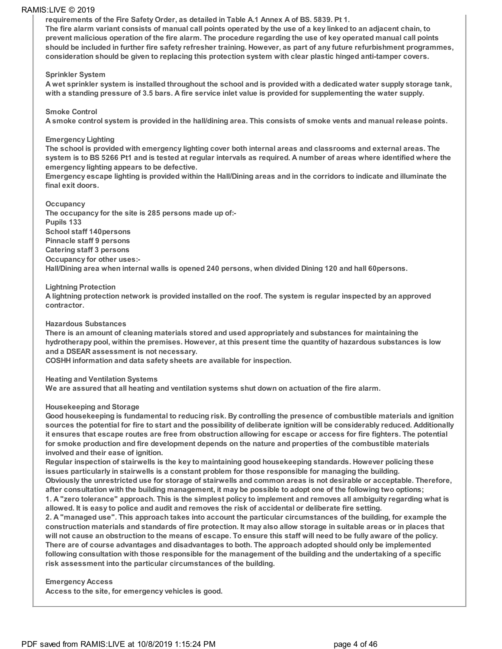**requirements of the Fire Safety Order, as detailed in Table A.1 Annex A of BS. 5839. Pt 1.**

The fire alarm variant consists of manual call points operated by the use of a key linked to an adjacent chain, to prevent malicious operation of the fire alarm. The procedure regarding the use of key operated manual call points should be included in further fire safety refresher training. However, as part of any future refurbishment programmes, **consideration should be given to replacing this protection system with clear plastic hinged anti-tamper covers.**

#### **Sprinkler System**

A wet sprinkler system is installed throughout the school and is provided with a dedicated water supply storage tank, with a standing pressure of 3.5 bars. A fire service inlet value is provided for supplementing the water supply.

#### **Smoke Control**

A smoke control system is provided in the hall/dining area. This consists of smoke vents and manual release points.

#### **Emergency Lighting**

The school is provided with emergency lighting cover both internal areas and classrooms and external areas. The system is to BS 5266 Pt1 and is tested at regular intervals as required. A number of areas where identified where the **emergency lighting appears to be defective.**

Emergency escape lighting is provided within the Hall/Dining areas and in the corridors to indicate and illuminate the **final exit doors.**

#### **Occupancy**

**The occupancy for the site is 285 persons made up of:- Pupils 133 School staff 140persons Pinnacle staff 9 persons Catering staff 3 persons Occupancy for other uses:- Hall/Dining area when internal walls is opened 240 persons, when divided Dining 120 and hall 60persons.**

#### **Lightning Protection**

A lightning protection network is provided installed on the roof. The system is regular inspected by an approved **contractor.**

#### **Hazardous Substances**

**There is an amount of cleaning materials stored and used appropriately and substances for maintaining the** hydrotherapy pool, within the premises. However, at this present time the quantity of hazardous substances is low **and a DSEAR assessment is not necessary.**

**COSHH information and data safety sheets are available for inspection.**

#### **Heating and Ventilation Systems**

**We are assured that all heating and ventilation systems shut down on actuation of the fire alarm.**

#### **Housekeeping and Storage**

Good housekeeping is fundamental to reducing risk. By controlling the presence of combustible materials and ignition sources the potential for fire to start and the possibility of deliberate ignition will be considerably reduced. Additionally it ensures that escape routes are free from obstruction allowing for escape or access for fire fighters. The potential **for smoke production and fire development depends on the nature and properties of the combustible materials involved and their ease of ignition.**

**Regular inspection of stairwells is the key to maintaining good housekeeping standards. However policing these issues particularly in stairwells is a constant problem for those responsible for managing the building.** Obviously the unrestricted use for storage of stairwells and common areas is not desirable or acceptable. Therefore, after consultation with the building management, it may be possible to adopt one of the following two options;

1. A "zero tolerance" approach. This is the simplest policy to implement and removes all ambiguity regarding what is allowed. It is easy to police and audit and removes the risk of accidental or deliberate fire setting.

2. A "managed use". This approach takes into account the particular circumstances of the building, for example the construction materials and standards of fire protection. It may also allow storage in suitable areas or in places that will not cause an obstruction to the means of escape. To ensure this staff will need to be fully aware of the policy. **There are of course advantages and disadvantages to both. The approach adopted should only be implemented** following consultation with those responsible for the management of the building and the undertaking of a specific **risk assessment into the particular circumstances of the building.**

#### **Emergency Access**

**Access to the site, for emergency vehicles is good.**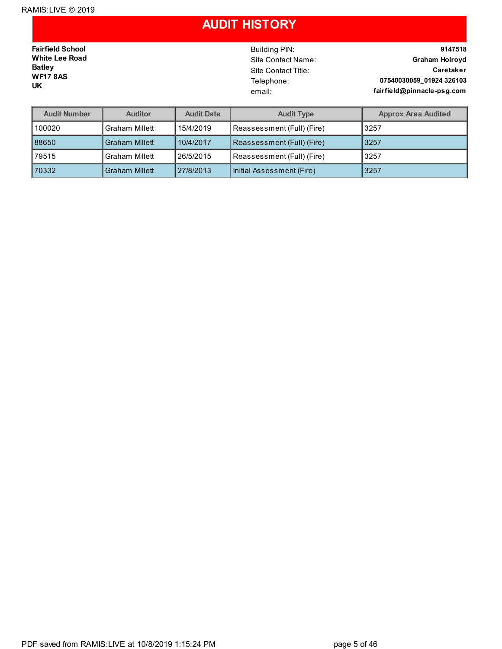### **AUDIT HISTORY**

**Fairfield School White Lee Road Batley WF17 8AS UK**

Building PIN: **9147518** Site Contact Name: **Graham Holroyd** Site Contact Title: **Caretaker** Telephone: **07540030059\_01924 326103** email: **fairfield@pinnacle-psg.com**

| <b>Audit Number</b> | <b>Auditor</b>        | <b>Audit Date</b> | <b>Audit Type</b>          | <b>Approx Area Audited</b> |
|---------------------|-----------------------|-------------------|----------------------------|----------------------------|
| 100020              | <b>Graham Millett</b> | 15/4/2019         | Reassessment (Full) (Fire) | 3257                       |
| 88650               | <b>Graham Millett</b> | 10/4/2017         | Reassessment (Full) (Fire) | 3257                       |
| 79515               | <b>Graham Millett</b> | 26/5/2015         | Reassessment (Full) (Fire) | 3257                       |
| 170332              | <b>Graham Millett</b> | 27/8/2013         | Initial Assessment (Fire)  | 3257                       |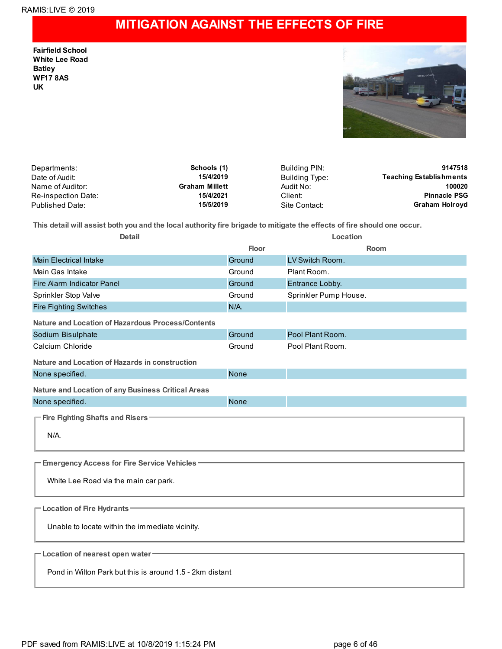## **MITIGATION AGAINST THE EFFECTS OF FIRE**

**Fairfield School White Lee Road Batley WF17 8AS UK**



| Departments:        | Schools (1)           | Building PIN:  | 9147518                        |
|---------------------|-----------------------|----------------|--------------------------------|
| Date of Audit:      | 15/4/2019             | Building Type: | <b>Teaching Establishments</b> |
| Name of Auditor:    | <b>Graham Millett</b> | Audit No:      | 100020                         |
| Re-inspection Date: | 15/4/2021             | Client:        | <b>Pinnacle PSG</b>            |
| Published Date:     | 15/5/2019             | Site Contact:  | Graham Holroyd                 |

This detail will assist both you and the local authority fire brigade to mitigate the effects of fire should one occur.

| <b>Detail</b>                                            | Location    |                       |  |  |  |
|----------------------------------------------------------|-------------|-----------------------|--|--|--|
|                                                          | Floor       | Room                  |  |  |  |
| <b>Main Electrical Intake</b>                            | Ground      | LV Switch Room.       |  |  |  |
| Main Gas Intake                                          | Ground      | Plant Room.           |  |  |  |
| Fire Alarm Indicator Panel                               | Ground      | Entrance Lobby.       |  |  |  |
| Sprinkler Stop Valve                                     | Ground      | Sprinkler Pump House. |  |  |  |
| <b>Fire Fighting Switches</b>                            | $N/A$ .     |                       |  |  |  |
| Nature and Location of Hazardous Process/Contents        |             |                       |  |  |  |
| Sodium Bisulphate                                        | Ground      | Pool Plant Room.      |  |  |  |
| Calcium Chloride                                         | Ground      | Pool Plant Room.      |  |  |  |
| Nature and Location of Hazards in construction           |             |                       |  |  |  |
| None specified.                                          | <b>None</b> |                       |  |  |  |
| Nature and Location of any Business Critical Areas       |             |                       |  |  |  |
| None specified.                                          | <b>None</b> |                       |  |  |  |
| - Fire Fighting Shafts and Risers                        |             |                       |  |  |  |
|                                                          |             |                       |  |  |  |
| $N/A$ .                                                  |             |                       |  |  |  |
|                                                          |             |                       |  |  |  |
| <b>Emergency Access for Fire Service Vehicles -</b>      |             |                       |  |  |  |
| White Lee Road via the main car park.                    |             |                       |  |  |  |
|                                                          |             |                       |  |  |  |
| - Location of Fire Hydrants                              |             |                       |  |  |  |
| Unable to locate within the immediate vicinity.          |             |                       |  |  |  |
|                                                          |             |                       |  |  |  |
| -Location of nearest open water                          |             |                       |  |  |  |
|                                                          |             |                       |  |  |  |
| Pond in Wilton Park but this is around 1.5 - 2km distant |             |                       |  |  |  |
|                                                          |             |                       |  |  |  |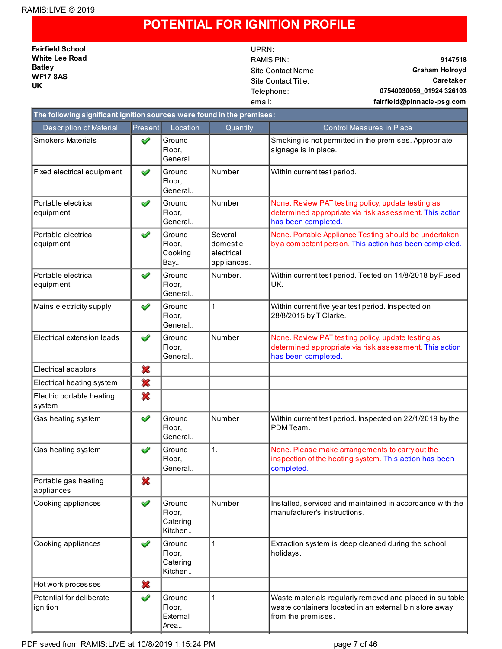### **POTENTIAL FOR IGNITION PROFILE**

**Fairfield School White Lee Road Batley WF17 8AS UK**

# UPRN:

RAMIS PIN: **9147518** Site Contact Name: **Graham Holroyd** Site Contact Title: **Caretaker** Telephone: **07540030059\_01924 326103** email: **fairfield@pinnacle-psg.com**

| The following significant ignition sources were found in the premises: |              |                                         |                                                  |                                                                                                                                          |  |  |
|------------------------------------------------------------------------|--------------|-----------------------------------------|--------------------------------------------------|------------------------------------------------------------------------------------------------------------------------------------------|--|--|
| Description of Material.                                               | Present      | Location                                | Quantity                                         | <b>Control Measures in Place</b>                                                                                                         |  |  |
| <b>Smokers Materials</b>                                               | ✔            | Ground<br>Floor,<br>General             |                                                  | Smoking is not permitted in the premises. Appropriate<br>signage is in place.                                                            |  |  |
| Fixed electrical equipment                                             | ✔            | Ground<br>Floor,<br>General             | Number                                           | Within current test period.                                                                                                              |  |  |
| Portable electrical<br>equipment                                       | ✔            | Ground<br>Floor.<br>General             | Number                                           | None. Review PAT testing policy, update testing as<br>determined appropriate via risk assessment. This action<br>has been completed.     |  |  |
| Portable electrical<br>equipment                                       | ✔            | Ground<br>Floor,<br>Cooking<br>Bay      | Several<br>domestic<br>electrical<br>appliances. | None. Portable Appliance Testing should be undertaken<br>by a competent person. This action has been completed.                          |  |  |
| Portable electrical<br>equipment                                       | $\checkmark$ | Ground<br>Floor,<br>General             | Number.                                          | Within current test period. Tested on 14/8/2018 by Fused<br>UK.                                                                          |  |  |
| Mains electricity supply                                               | ✔            | Ground<br>Floor,<br>General             | 1                                                | Within current five year test period. Inspected on<br>28/8/2015 by T Clarke.                                                             |  |  |
| Electrical extension leads                                             | ✔            | Ground<br>Floor,<br>General             | Number                                           | None. Review PAT testing policy, update testing as<br>determined appropriate via risk assessment. This action<br>has been completed.     |  |  |
| Electrical adaptors                                                    | ×            |                                         |                                                  |                                                                                                                                          |  |  |
| Electrical heating system                                              | ×            |                                         |                                                  |                                                                                                                                          |  |  |
| Electric portable heating<br>system                                    | 裟            |                                         |                                                  |                                                                                                                                          |  |  |
| Gas heating system                                                     | ✔            | Ground<br>Floor,<br>General             | Number                                           | Within current test period. Inspected on 22/1/2019 by the<br>PDM Team.                                                                   |  |  |
| Gas heating system                                                     | ✔            | Ground<br>Floor,<br>General             | 1.                                               | None. Please make arrangements to carry out the<br>inspection of the heating system. This action has been<br>completed.                  |  |  |
| Portable gas heating<br>appliances                                     | ×            |                                         |                                                  |                                                                                                                                          |  |  |
| Cooking appliances                                                     | ✔            | Ground<br>Floor,<br>Catering<br>Kitchen | Number                                           | Installed, serviced and maintained in accordance with the<br>manufacturer's instructions.                                                |  |  |
| Cooking appliances                                                     | ✔            | Ground<br>Floor,<br>Catering<br>Kitchen | $\mathbf 1$                                      | Extraction system is deep cleaned during the school<br>holidays.                                                                         |  |  |
| Hot work processes                                                     | ×            |                                         |                                                  |                                                                                                                                          |  |  |
| Potential for deliberate<br>ignition                                   | ✔            | Ground<br>Floor,<br>External<br>Area    | $\mathbf 1$                                      | Waste materials regularly removed and placed in suitable<br>waste containers located in an external bin store away<br>from the premises. |  |  |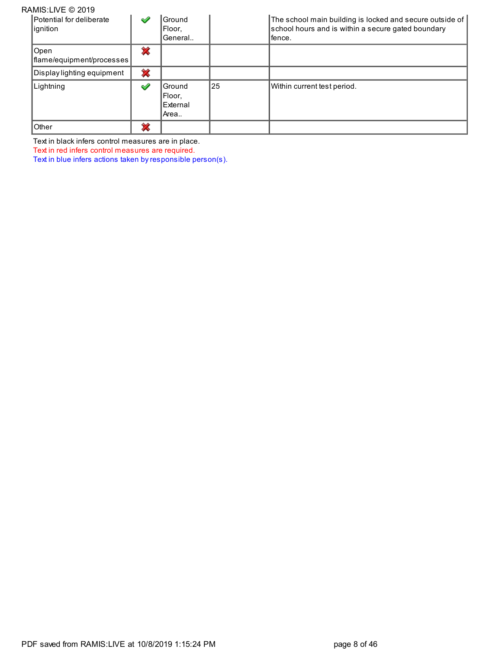| RAMIS:LIVE © 2019                    |   |                                      |    |                                                                                                                          |
|--------------------------------------|---|--------------------------------------|----|--------------------------------------------------------------------------------------------------------------------------|
| Potential for deliberate<br>ignition | ✔ | Ground<br>Floor.<br>General          |    | The school main building is locked and secure outside of<br>school hours and is within a secure gated boundary<br>fence. |
| Open<br>flame/equipment/processes    | ∞ |                                      |    |                                                                                                                          |
| Display lighting equipment           | × |                                      |    |                                                                                                                          |
| Lightning                            | ✔ | Ground<br>Floor.<br>External<br>Area | 25 | Within current test period.                                                                                              |
| Other                                | չ |                                      |    |                                                                                                                          |

Text in black infers control measures are in place.

Text in red infers control measures are required.

Text in blue infers actions taken by responsible person(s).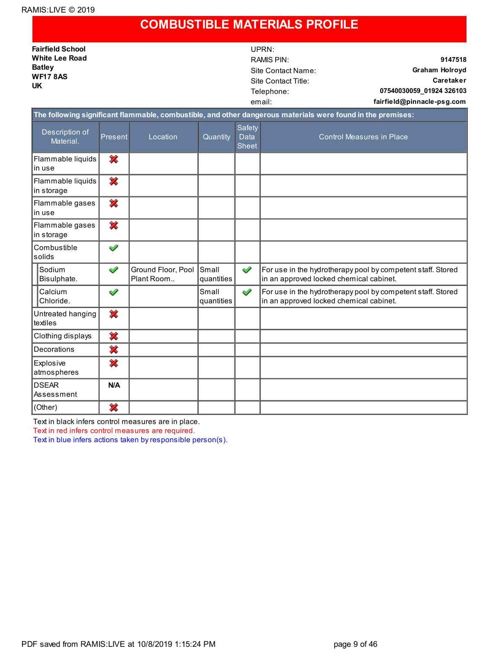### **COMBUSTIBLE MATERIALS PROFILE**

| <b>Fairfield School</b>          | UPRN:                                                                                                       |                                    |
|----------------------------------|-------------------------------------------------------------------------------------------------------------|------------------------------------|
| <b>White Lee Road</b>            | RAMIS PIN:                                                                                                  | 9147518                            |
| <b>Batley</b><br><b>WF17 8AS</b> | Site Contact Name:                                                                                          | <b>Graham Holroyd</b><br>Caretaker |
|                                  | Site Contact Title:                                                                                         |                                    |
| <b>UK</b>                        | Telephone:                                                                                                  | 07540030059 01924 326103           |
|                                  | email:                                                                                                      | fairfield@pinnacle-psg.com         |
|                                  | The following significant flammable, combustible, and other dangerous materials were found in the premises: |                                    |
|                                  |                                                                                                             |                                    |

| Description of<br>Material.     | Present | Location                         | Quantity                   | Safety<br><b>Data</b><br><b>Sheet</b> | <b>Control Measures in Place</b>                                                                       |
|---------------------------------|---------|----------------------------------|----------------------------|---------------------------------------|--------------------------------------------------------------------------------------------------------|
| Flammable liquids<br>in use     | ✖       |                                  |                            |                                       |                                                                                                        |
| Flammable liquids<br>in storage | ╳       |                                  |                            |                                       |                                                                                                        |
| Flammable gases<br>in use       | ×       |                                  |                            |                                       |                                                                                                        |
| Flammable gases<br>in storage   | ✖       |                                  |                            |                                       |                                                                                                        |
| Combustible<br>solids           | ✔       |                                  |                            |                                       |                                                                                                        |
| Sodium<br>Bisulphate.           | ✔       | Ground Floor, Pool<br>Plant Room | <b>Small</b><br>quantities | $\checkmark$                          | For use in the hydrotherapy pool by competent staff. Stored<br>in an approved locked chemical cabinet. |
| Calcium<br>Chloride.            | ✔       |                                  | Small<br>quantities        | ✔                                     | For use in the hydrotherapy pool by competent staff. Stored<br>in an approved locked chemical cabinet. |
| Untreated hanging<br>textiles   | ×       |                                  |                            |                                       |                                                                                                        |
| Clothing displays               | ✖       |                                  |                            |                                       |                                                                                                        |
| Decorations                     | ✖       |                                  |                            |                                       |                                                                                                        |
| Explosive<br>atmospheres        | ✖       |                                  |                            |                                       |                                                                                                        |
| <b>DSEAR</b><br>Assessment      | N/A     |                                  |                            |                                       |                                                                                                        |
| (Other)                         | ×       |                                  |                            |                                       |                                                                                                        |

Text in black infers control measures are in place.

Text in red infers control measures are required.

Text in blue infers actions taken by responsible person(s).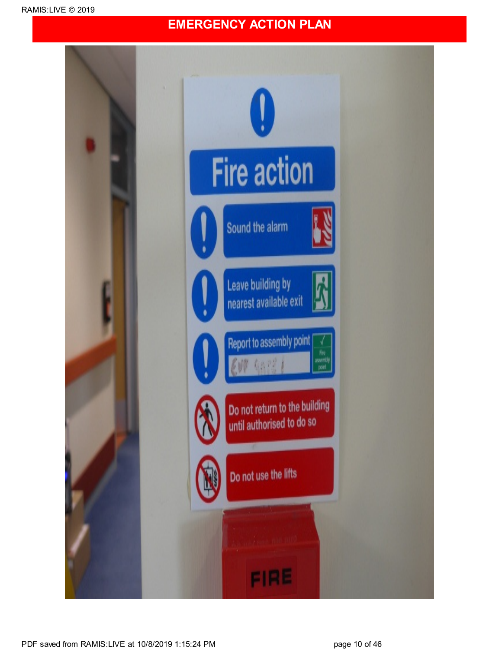### **EMERGENCY ACTION PLAN**

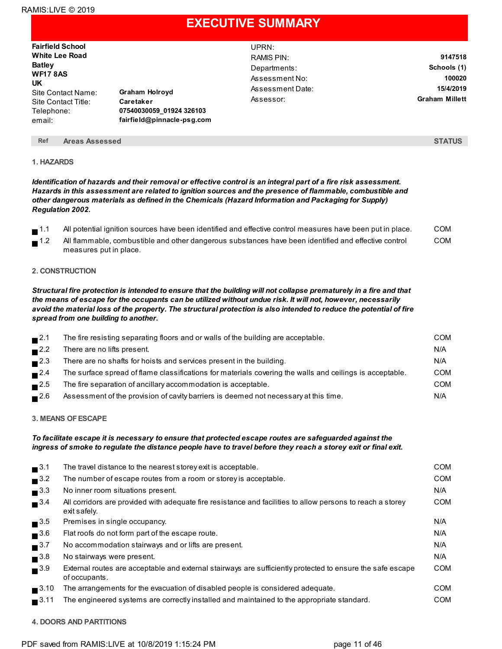### **EXECUTIVE SUMMARY**

| <b>Fairfield School</b><br><b>White Lee Road</b><br><b>Batley</b><br><b>WF17 8AS</b><br>UK<br>Site Contact Name:<br>Site Contact Title:<br>Telephone:<br>email: | <b>Graham Holroyd</b><br>Caretaker<br>07540030059 01924 326103<br>fairfield@pinnacle-psg.com | UPRN:<br>RAMIS PIN:<br>Departments:<br>Assessment No:<br>Assessment Date:<br>Assessor: | 9147518<br>Schools (1)<br>100020<br>15/4/2019<br><b>Graham Millett</b> |
|-----------------------------------------------------------------------------------------------------------------------------------------------------------------|----------------------------------------------------------------------------------------------|----------------------------------------------------------------------------------------|------------------------------------------------------------------------|
|                                                                                                                                                                 |                                                                                              |                                                                                        |                                                                        |

#### **Ref Areas Assessed STATUS**

#### **1. HAZARDS**

Identification of hazards and their removal or effective control is an integral part of a fire risk assessment. *Hazards in this assessment are related to ignition sources and the presence of flammable, combustible and other dangerous materials as defined in the Chemicals (Hazard Information and Packaging for Supply) Regulation 2002.*

|        | All potential ignition sources have been identified and effective control measures have been put in place. | COM |
|--------|------------------------------------------------------------------------------------------------------------|-----|
| $-1.2$ | All flammable, combustible and other dangerous substances have been identified and effective control       | COM |

#### **2. CONSTRUCTION**

measures put in place.

Structural fire protection is intended to ensure that the building will not collapse prematurely in a fire and that the means of escape for the occupants can be utilized without undue risk. It will not, however, necessarily avoid the material loss of the property. The structural protection is also intended to reduce the potential of fire *spread from one building to another.*

| $\blacksquare$ 2.1 | The fire resisting separating floors and or walls of the building are acceptable.                        | <b>COM</b> |
|--------------------|----------------------------------------------------------------------------------------------------------|------------|
| $\blacksquare$ 2.2 | There are no lifts present.                                                                              | N/A        |
| $\blacksquare$ 2.3 | There are no shafts for hoists and services present in the building.                                     | N/A        |
| $\blacksquare$ 2.4 | The surface spread of flame classifications for materials covering the walls and ceilings is acceptable. | <b>COM</b> |
| $\blacksquare$ 2.5 | The fire separation of ancillary accommodation is acceptable.                                            | <b>COM</b> |
| $\blacksquare$ 2.6 | Assessment of the provision of cavity barriers is deemed not necessary at this time.                     | N/A        |

#### **3. MEANS OFESCAPE**

#### *To facilitate escape it is necessary to ensure that protected escape routes are safeguarded against the* ingress of smoke to regulate the distance people have to travel before they reach a storey exit or final exit.

| $\blacksquare$ <sup>3.1</sup> | The travel distance to the nearest storey exit is acceptable.                                                               | <b>COM</b> |
|-------------------------------|-----------------------------------------------------------------------------------------------------------------------------|------------|
| $\blacksquare$ 3.2            | The number of escape routes from a room or storey is acceptable.                                                            | <b>COM</b> |
| $\blacksquare$ <sup>3.3</sup> | No inner room situations present.                                                                                           | N/A        |
| $\blacksquare$ <sup>3.4</sup> | All corridors are provided with adequate fire resistance and facilities to allow persons to reach a storey<br>exit safely.  | <b>COM</b> |
| $\blacksquare$ <sup>3.5</sup> | Premises in single occupancy.                                                                                               | N/A        |
| $\blacksquare$ <sup>3.6</sup> | Flat roofs do not form part of the escape route.                                                                            | N/A        |
| $\blacksquare$ <sup>3.7</sup> | No accommodation stairways and or lifts are present.                                                                        | N/A        |
| $\blacksquare$ <sup>3.8</sup> | No stairways were present.                                                                                                  | N/A        |
| $\blacksquare$ <sup>3.9</sup> | External routes are acceptable and external stairways are sufficiently protected to ensure the safe escape<br>of occupants. | <b>COM</b> |
| $\blacksquare$ 3.10           | The arrangements for the evacuation of disabled people is considered adequate.                                              | <b>COM</b> |
| $\blacksquare$ 3.11           | The engineered systems are correctly installed and maintained to the appropriate standard.                                  | <b>COM</b> |
|                               |                                                                                                                             |            |

#### **4. DOORS AND PARTITIONS**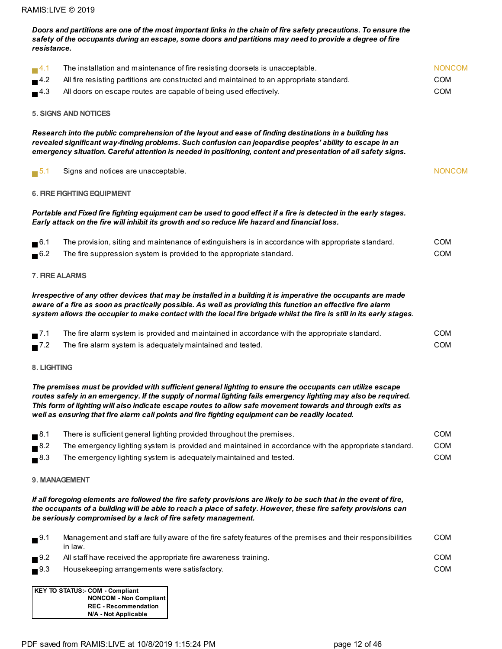| resistance.                   | safety of the occupants during an escape, some doors and partitions may need to provide a degree of fire                                                                                                                                                                                                                                                                                                                                      |               |
|-------------------------------|-----------------------------------------------------------------------------------------------------------------------------------------------------------------------------------------------------------------------------------------------------------------------------------------------------------------------------------------------------------------------------------------------------------------------------------------------|---------------|
| $\blacksquare$ <sup>4.1</sup> | The installation and maintenance of fire resisting doorsets is unacceptable.                                                                                                                                                                                                                                                                                                                                                                  | <b>NONCOM</b> |
| 4.2                           | All fire resisting partitions are constructed and maintained to an appropriate standard.                                                                                                                                                                                                                                                                                                                                                      | <b>COM</b>    |
| $\blacksquare$ <sup>4.3</sup> | All doors on escape routes are capable of being used effectively.                                                                                                                                                                                                                                                                                                                                                                             | COM           |
|                               | <b>5. SIGNS AND NOTICES</b>                                                                                                                                                                                                                                                                                                                                                                                                                   |               |
|                               | Research into the public comprehension of the layout and ease of finding destinations in a building has<br>revealed significant way-finding problems. Such confusion can jeopardise peoples' ability to escape in an<br>emergency situation. Careful attention is needed in positioning, content and presentation of all safety signs.                                                                                                        |               |
| $\blacksquare$ 5.1            | Signs and notices are unacceptable.                                                                                                                                                                                                                                                                                                                                                                                                           | <b>NONCOM</b> |
|                               | <b>6. FIRE FIGHTING EQUIPMENT</b>                                                                                                                                                                                                                                                                                                                                                                                                             |               |
|                               | Portable and Fixed fire fighting equipment can be used to good effect if a fire is detected in the early stages.<br>Early attack on the fire will inhibit its growth and so reduce life hazard and financial loss.                                                                                                                                                                                                                            |               |
| $\blacksquare$ <sup>6.1</sup> | The provision, siting and maintenance of extinguishers is in accordance with appropriate standard.                                                                                                                                                                                                                                                                                                                                            | <b>COM</b>    |
| $\blacksquare$ <sup>6.2</sup> | The fire suppression system is provided to the appropriate standard.                                                                                                                                                                                                                                                                                                                                                                          | COM           |
|                               | 7. FIRE ALARMS                                                                                                                                                                                                                                                                                                                                                                                                                                |               |
|                               | Irrespective of any other devices that may be installed in a building it is imperative the occupants are made<br>aware of a fire as soon as practically possible. As well as providing this function an effective fire alarm<br>system allows the occupier to make contact with the local fire brigade whilst the fire is still in its early stages.                                                                                          |               |
| $\blacksquare$ 7.1            | The fire alarm system is provided and maintained in accordance with the appropriate standard.                                                                                                                                                                                                                                                                                                                                                 | <b>COM</b>    |
| $\blacksquare$ <sup>7.2</sup> | The fire alarm system is adequately maintained and tested.                                                                                                                                                                                                                                                                                                                                                                                    | <b>COM</b>    |
| 8. LIGHTING                   |                                                                                                                                                                                                                                                                                                                                                                                                                                               |               |
|                               | The premises must be provided with sufficient general lighting to ensure the occupants can utilize escape<br>routes safely in an emergency. If the supply of normal lighting fails emergency lighting may also be required.<br>This form of lighting will also indicate escape routes to allow safe movement towards and through exits as<br>well as ensuring that fire alarm call points and fire fighting equipment can be readily located. |               |
| $\blacksquare$ <sup>8.1</sup> | There is sufficient general lighting provided throughout the premises.                                                                                                                                                                                                                                                                                                                                                                        | <b>COM</b>    |
| $\blacksquare$ <sup>8.2</sup> | The emergency lighting system is provided and maintained in accordance with the appropriate standard.                                                                                                                                                                                                                                                                                                                                         | <b>COM</b>    |
| $\blacksquare$ <sup>8.3</sup> | The emergency lighting system is adequately maintained and tested.                                                                                                                                                                                                                                                                                                                                                                            | <b>COM</b>    |
|                               | 9. MANAGEMENT                                                                                                                                                                                                                                                                                                                                                                                                                                 |               |
|                               | If all foregoing elements are followed the fire safety provisions are likely to be such that in the event of fire,<br>the occupants of a building will be able to reach a place of safety. However, these fire safety provisions can<br>be seriously compromised by a lack of fire safety management.                                                                                                                                         |               |
| $\blacksquare$ <sup>9.1</sup> | Management and staff are fully aware of the fire safety features of the premises and their responsibilities<br>in law.                                                                                                                                                                                                                                                                                                                        | <b>COM</b>    |
| $\blacksquare$ 9.2            | All staff have received the appropriate fire awareness training.                                                                                                                                                                                                                                                                                                                                                                              | <b>COM</b>    |
| $\blacksquare$ <sup>9.3</sup> | Housekeeping arrangements were satisfactory.                                                                                                                                                                                                                                                                                                                                                                                                  | <b>COM</b>    |
|                               | <b>KEY TO STATUS:- COM - Compliant</b><br><b>NONCOM - Non Compliant</b><br><b>REC - Recommendation</b>                                                                                                                                                                                                                                                                                                                                        |               |

Doors and partitions are one of the most important links in the chain of fire safety precautions. To ensure the

PDF saved from RAMIS:LIVE at 10/8/2019 1:15:24 PM page 12 of 46

**N/A - Not Applicable**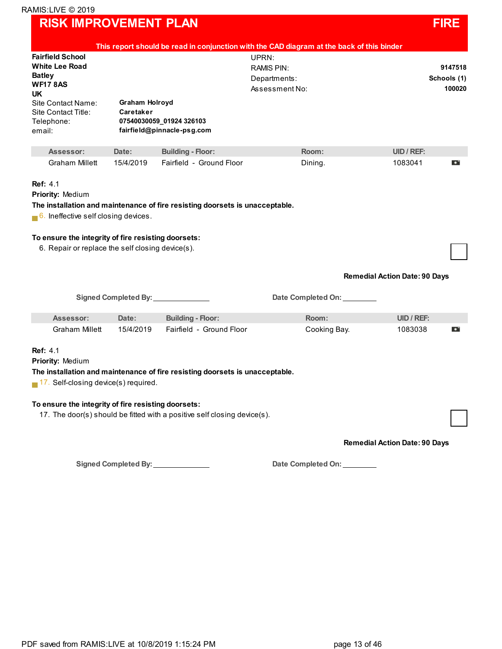### **RISK IMPROVEMENT PLAN FIRE**

|                                                                                                                                                                        |                                    |                                                                                                                                                          | This report should be read in conjunction with the CAD diagram at the back of this binder |                                      |
|------------------------------------------------------------------------------------------------------------------------------------------------------------------------|------------------------------------|----------------------------------------------------------------------------------------------------------------------------------------------------------|-------------------------------------------------------------------------------------------|--------------------------------------|
| <b>Fairfield School</b><br><b>White Lee Road</b><br><b>Batley</b><br><b>WF17 8AS</b><br><b>UK</b><br>Site Contact Name:<br>Site Contact Title:<br>Telephone:<br>email: | <b>Graham Holroyd</b><br>Caretaker | 07540030059_01924 326103<br>fairfield@pinnacle-psg.com                                                                                                   | UPRN:<br>RAMIS PIN:<br>Departments:<br>Assessment No:                                     | 9147518<br>Schools (1)<br>100020     |
| Assessor:                                                                                                                                                              | Date:                              | <b>Building - Floor:</b>                                                                                                                                 | Room:                                                                                     | <b>UID / REF:</b>                    |
| Graham Millett                                                                                                                                                         | 15/4/2019                          | Fairfield - Ground Floor                                                                                                                                 | Dining.                                                                                   | 1083041<br>o                         |
| Priority: Medium<br>6. Ineffective self closing devices.<br>To ensure the integrity of fire resisting doorsets:<br>6. Repair or replace the self closing device(s).    |                                    | The installation and maintenance of fire resisting doorsets is unacceptable.                                                                             |                                                                                           | <b>Remedial Action Date: 90 Days</b> |
|                                                                                                                                                                        | <b>Signed Completed By:</b>        |                                                                                                                                                          | Date Completed On:                                                                        |                                      |
| Assessor:                                                                                                                                                              | Date:                              | <b>Building - Floor:</b>                                                                                                                                 | Room:                                                                                     | UID / REF:                           |
| <b>Graham Millett</b>                                                                                                                                                  | 15/4/2019                          | Fairfield - Ground Floor                                                                                                                                 | Cooking Bay.                                                                              | 1083038<br>o                         |
| <b>Ref: 4.1</b><br><b>Priority: Medium</b><br>$\blacksquare$ 17. Self-closing device(s) required.<br>To ensure the integrity of fire resisting doorsets:               |                                    | The installation and maintenance of fire resisting doorsets is unacceptable.<br>17. The door(s) should be fitted with a positive self closing device(s). |                                                                                           |                                      |
|                                                                                                                                                                        |                                    |                                                                                                                                                          |                                                                                           | <b>Remedial Action Date: 90 Days</b> |

**Signed Completed By: Date Completed On:**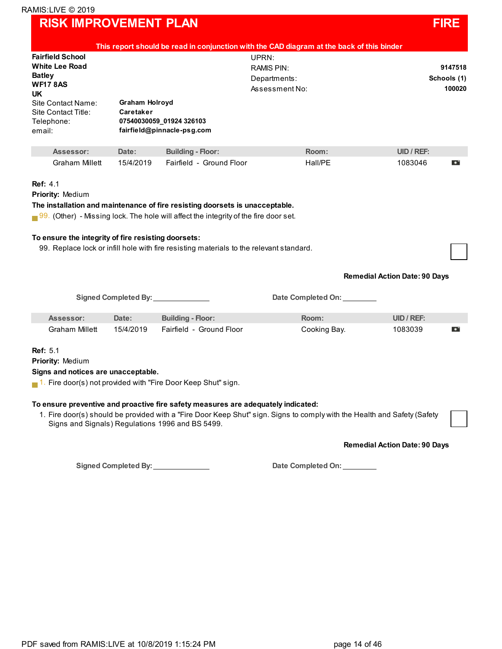### **RISK IMPROVEMENT PLAN FIRE**

| <b>Fairfield School</b><br><b>White Lee Road</b><br><b>Batley</b><br><b>WF178AS</b><br>UK.<br>Site Contact Name:<br>Site Contact Title:<br>Telephone:<br>email: | Graham Holroyd<br>Caretaker               | 07540030059 01924 326103<br>fairfield@pinnacle-psg.com                                                                                                                                                                                                                 | This report should be read in conjunction with the CAD diagram at the back of this binder<br>UPRN:<br><b>RAMIS PIN:</b><br>Departments:<br>Assessment No: | 9147518<br>Schools (1)<br>100020     |
|-----------------------------------------------------------------------------------------------------------------------------------------------------------------|-------------------------------------------|------------------------------------------------------------------------------------------------------------------------------------------------------------------------------------------------------------------------------------------------------------------------|-----------------------------------------------------------------------------------------------------------------------------------------------------------|--------------------------------------|
| Assessor:                                                                                                                                                       | Date:                                     | <b>Building - Floor:</b>                                                                                                                                                                                                                                               | Room:                                                                                                                                                     | UID / REF:                           |
| <b>Graham Millett</b>                                                                                                                                           | 15/4/2019                                 | Fairfield - Ground Floor                                                                                                                                                                                                                                               | Hall/PE                                                                                                                                                   | 1083046<br>О                         |
| To ensure the integrity of fire resisting doorsets:                                                                                                             |                                           | The installation and maintenance of fire resisting doorsets is unacceptable.<br>$\Box$ 99. (Other) - Missing lock. The hole will affect the integrity of the fire door set.<br>99. Replace lock or infill hole with fire resisting materials to the relevant standard. |                                                                                                                                                           | <b>Remedial Action Date: 90 Days</b> |
|                                                                                                                                                                 | Signed Completed By: <b>Completed</b> By: |                                                                                                                                                                                                                                                                        | Date Completed On:                                                                                                                                        |                                      |
| Assessor:                                                                                                                                                       | Date:                                     | <b>Building - Floor:</b>                                                                                                                                                                                                                                               | Room:                                                                                                                                                     | UID / REF:                           |
| Graham Millett                                                                                                                                                  | 15/4/2019                                 | Fairfield - Ground Floor                                                                                                                                                                                                                                               | Cooking Bay.                                                                                                                                              | 1083039<br>o                         |
| <b>Ref: 5.1</b><br>Priority: Medium<br>Signs and notices are unacceptable.                                                                                      |                                           | $\blacksquare$ 1. Fire door(s) not provided with "Fire Door Keep Shut" sign.                                                                                                                                                                                           |                                                                                                                                                           |                                      |

**Remedial Action Date: 90 Days**

**Signed Completed By: Date Completed On:**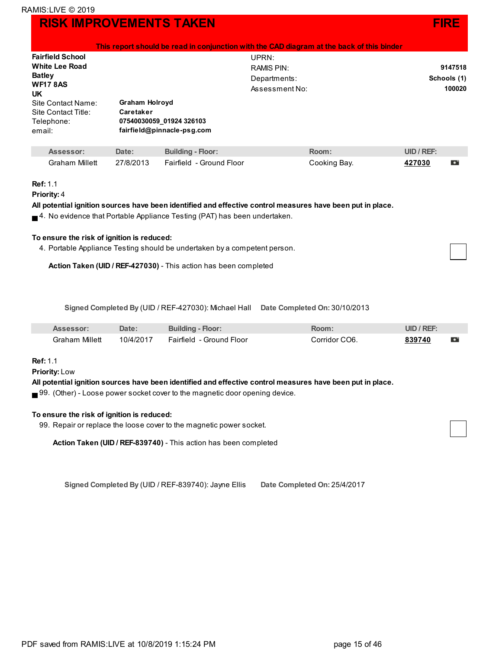|                                                                                                                                                                        |                                    | This report should be read in conjunction with the CAD diagram at the back of this binder |                                                       |              |               |                                  |
|------------------------------------------------------------------------------------------------------------------------------------------------------------------------|------------------------------------|-------------------------------------------------------------------------------------------|-------------------------------------------------------|--------------|---------------|----------------------------------|
| <b>Fairfield School</b><br><b>White Lee Road</b><br><b>Batley</b><br><b>WF17 8AS</b><br><b>UK</b><br>Site Contact Name:<br>Site Contact Title:<br>Telephone:<br>email: | <b>Graham Holroyd</b><br>Caretaker | 07540030059 01924 326103<br>fairfield@pinnacle-psg.com                                    | UPRN:<br>RAMIS PIN:<br>Departments:<br>Assessment No: |              |               | 9147518<br>Schools (1)<br>100020 |
| Assessor:                                                                                                                                                              | Date:                              | <b>Building - Floor:</b>                                                                  | Room:                                                 |              | $UID / REF$ : |                                  |
| <b>Graham Millett</b>                                                                                                                                                  | 27/8/2013                          | Fairfield - Ground Floor                                                                  |                                                       | Cooking Bay. | 427030        | o                                |

#### **Ref:** 1.1

```
Priority: 4
```
**All potential ignition sources have been identified and effective control measures have been put in place.**

 $\blacksquare$ <sup>4.</sup> No evidence that Portable Appliance Testing (PAT) has been undertaken.

#### **To ensure the risk of ignition is reduced:**

4. Portable Appliance Testing should be undertaken by a competent person.

**Action Taken (UID / REF-427030)** - This action has been completed

**Signed Completed By** (UID / REF-427030): Michael Hall **Date Completed On:** 30/10/2013

| Assessor:      | Date:     | <b>Building - Floor:</b> | <b>Room:</b>  | UID / REF |   |
|----------------|-----------|--------------------------|---------------|-----------|---|
| Graham Millett | 10/4/2017 | Fairfield - Ground Floor | Corridor CO6. | 839740    | Ð |

**Ref:** 1.1

**Priority:** Low

**All potential ignition sources have been identified and effective control measures have been put in place.**

 $\blacksquare$  99. (Other) - Loose power socket cover to the magnetic door opening device.

#### **To ensure the risk of ignition is reduced:**

99. Repair or replace the loose cover to the magnetic power socket.

**Action Taken (UID / REF-839740)** - This action has been completed

**Signed Completed By** (UID / REF-839740): Jayne Ellis **Date Completed On:** 25/4/2017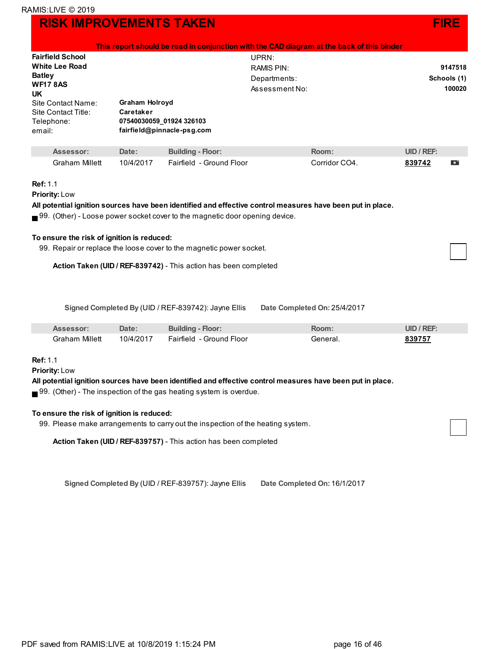|                                                                                                                                                                       |                                    | This report should be read in conjunction with the CAD diagram at the back of this binder |                                                              |               |            |                                  |
|-----------------------------------------------------------------------------------------------------------------------------------------------------------------------|------------------------------------|-------------------------------------------------------------------------------------------|--------------------------------------------------------------|---------------|------------|----------------------------------|
| <b>Fairfield School</b><br><b>White Lee Road</b><br><b>Batley</b><br><b>WF178AS</b><br><b>UK</b><br>Site Contact Name:<br>Site Contact Title:<br>Telephone:<br>email: | <b>Graham Holroyd</b><br>Caretaker | 07540030059 01924 326103<br>fairfield@pinnacle-psg.com                                    | UPRN:<br><b>RAMIS PIN:</b><br>Departments:<br>Assessment No: |               |            | 9147518<br>Schools (1)<br>100020 |
| Assessor:                                                                                                                                                             | Date:                              | <b>Building - Floor:</b>                                                                  |                                                              | Room:         | UID / REF: |                                  |
| Graham Millett                                                                                                                                                        | 10/4/2017                          | Fairfield - Ground Floor                                                                  |                                                              | Corridor CO4. | 839742     | o                                |
| <b>Ref: 1.1</b>                                                                                                                                                       |                                    |                                                                                           |                                                              |               |            |                                  |

### **Ref:** 1.1

**Priority:** Low

**All potential ignition sources have been identified and effective control measures have been put in place.**

 $\blacksquare$  99. (Other) - Loose power socket cover to the magnetic door opening device.

#### **To ensure the risk of ignition is reduced:**

99. Repair or replace the loose cover to the magnetic power socket.

**Action Taken (UID / REF-839742)** - This action has been completed

**Signed Completed By** (UID / REF-839742): Jayne Ellis **Date Completed On:** 25/4/2017

| Assessor:      | Date:     | <b>Building - Floor:</b> | २००m     | UID / REF: |
|----------------|-----------|--------------------------|----------|------------|
| Graham Millett | 10/4/2017 | Fairfield - Ground Floor | General. | 839757     |

#### **Ref:** 1.1

**Priority:** Low

**All potential ignition sources have been identified and effective control measures have been put in place.**

■ 99. (Other) - The inspection of the gas heating system is overdue.

#### **To ensure the risk of ignition is reduced:**

99. Please make arrangements to carry out the inspection of the heating system.

**Action Taken (UID / REF-839757)** - This action has been completed

**Signed Completed By** (UID / REF-839757): Jayne Ellis **Date Completed On:** 16/1/2017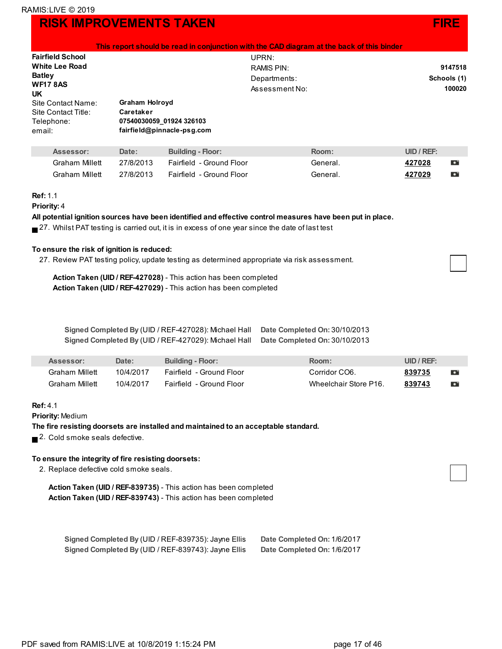|                              |                |                            | This report should be read in conjunction with the CAD diagram at the back of this binder |             |
|------------------------------|----------------|----------------------------|-------------------------------------------------------------------------------------------|-------------|
| <b>Fairfield School</b>      |                |                            | UPRN:                                                                                     |             |
| <b>White Lee Road</b>        |                |                            | RAMIS PIN:                                                                                | 9147518     |
| <b>Batley</b>                |                |                            | Departments:                                                                              | Schools (1) |
| <b>WF17 8AS</b><br><b>UK</b> |                |                            | Assessment No:                                                                            | 100020      |
| Site Contact Name:           | Graham Holroyd |                            |                                                                                           |             |
| Site Contact Title:          | Caretaker      |                            |                                                                                           |             |
| Telephone:                   |                | 07540030059 01924 326103   |                                                                                           |             |
| email:                       |                | fairfield@pinnacle-psg.com |                                                                                           |             |
| Assessor:                    | Date:          | <b>Building - Floor:</b>   | Room:                                                                                     | UID / REF:  |

| Assessor:             | Date:     | <b>Building - Floor:</b> | Room:    | UID / REF: |   |
|-----------------------|-----------|--------------------------|----------|------------|---|
| <b>Graham Millett</b> | 27/8/2013 | Fairfield - Ground Floor | General. | 427028     | Ð |
| <b>Graham Millett</b> | 27/8/2013 | Fairfield - Ground Floor | General. | 427029     | o |

#### **Ref:** 1.1

#### **Priority:** 4

**All potential ignition sources have been identified and effective control measures have been put in place.**

 $\blacksquare$  27. Whilst PAT testing is carried out, it is in excess of one year since the date of last test

#### **To ensure the risk of ignition is reduced:**

27. Review PAT testing policy, update testing as determined appropriate via risk assessment.

**Action Taken (UID / REF-427028)** - This action has been completed **Action Taken (UID / REF-427029)** - This action has been completed

| Signed Completed By (UID / REF-427028): Michael Hall | Date Completed On: 30/10/2013 |
|------------------------------------------------------|-------------------------------|
| Signed Completed By (UID / REF-427029): Michael Hall | Date Completed On: 30/10/2013 |

| Assessor:      | <b>Date:</b> | <b>Building - Floor:</b> | Room:                 | UID / REF: |           |
|----------------|--------------|--------------------------|-----------------------|------------|-----------|
| Graham Millett | 10/4/2017    | Fairfield - Ground Floor | Corridor CO6.         | 839735     | o         |
| Graham Millett | 10/4/2017    | Fairfield - Ground Floor | Wheelchair Store P16. | 839743     | $\bullet$ |

#### **Ref:** 4.1

**Priority:** Medium

#### **The fire resisting doorsets are installed and maintained to an acceptable standard.**

2. Cold smoke seals defective.

#### **To ensure the integrity of fire resisting doorsets:**

2. Replace defective cold smoke seals.

**Action Taken (UID / REF-839735)** - This action has been completed **Action Taken (UID / REF-839743)** - This action has been completed

| Signed Completed By (UID / REF-839735): Jayne Ellis | Date Completed On: 1/6/2017 |
|-----------------------------------------------------|-----------------------------|
| Signed Completed By (UID / REF-839743): Jayne Ellis | Date Completed On: 1/6/2017 |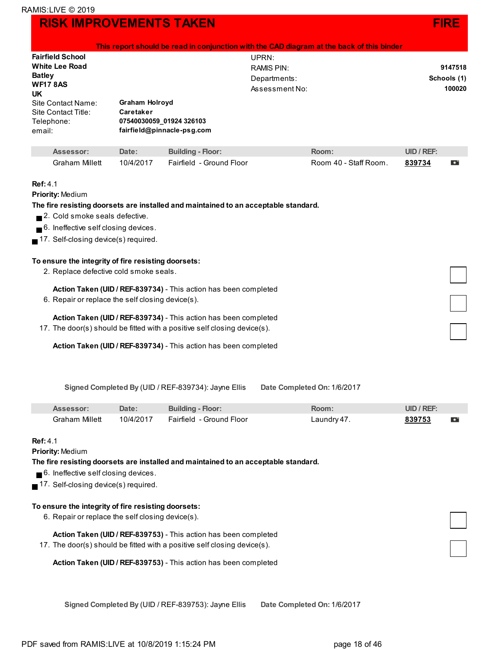|                                                                                                                                                                             |                                                                |                                                                                                                                              |  | This report should be read in conjunction with the CAD diagram at the back of this binder |                                  |   |
|-----------------------------------------------------------------------------------------------------------------------------------------------------------------------------|----------------------------------------------------------------|----------------------------------------------------------------------------------------------------------------------------------------------|--|-------------------------------------------------------------------------------------------|----------------------------------|---|
| <b>Fairfield School</b><br>UPRN:<br><b>White Lee Road</b><br><b>RAMIS PIN:</b><br><b>Batley</b><br>Departments:<br><b>WF178AS</b><br>Assessment No:<br><b>UK</b>            |                                                                |                                                                                                                                              |  |                                                                                           | 9147518<br>Schools (1)<br>100020 |   |
| Site Contact Name:<br>Site Contact Title:<br>Telephone:<br>email:                                                                                                           | <b>Graham Holroyd</b><br>Caretaker<br>07540030059_01924 326103 | fairfield@pinnacle-psg.com                                                                                                                   |  |                                                                                           |                                  |   |
| Assessor:                                                                                                                                                                   | Date:                                                          | <b>Building - Floor:</b>                                                                                                                     |  | Room:                                                                                     | UID / REF:                       |   |
| <b>Graham Millett</b>                                                                                                                                                       | 10/4/2017                                                      | Fairfield - Ground Floor                                                                                                                     |  | Room 40 - Staff Room.                                                                     | 839734                           | o |
| <b>Ref: 4.1</b><br><b>Priority: Medium</b><br>2. Cold smoke seals defective.<br>6. Ineffective self closing devices.<br>$\blacksquare$ 17. Self-closing device(s) required. |                                                                | The fire resisting doorsets are installed and maintained to an acceptable standard.                                                          |  |                                                                                           |                                  |   |
| To ensure the integrity of fire resisting doorsets:<br>2. Replace defective cold smoke seals.                                                                               |                                                                |                                                                                                                                              |  |                                                                                           |                                  |   |
|                                                                                                                                                                             |                                                                | Action Taken (UID / REF-839734) - This action has been completed                                                                             |  |                                                                                           |                                  |   |
| 6. Repair or replace the self closing device(s).                                                                                                                            |                                                                |                                                                                                                                              |  |                                                                                           |                                  |   |
|                                                                                                                                                                             |                                                                | Action Taken (UID / REF-839734) - This action has been completed<br>17. The door(s) should be fitted with a positive self closing device(s). |  |                                                                                           |                                  |   |
|                                                                                                                                                                             |                                                                | Action Taken (UID / REF-839734) - This action has been completed                                                                             |  |                                                                                           |                                  |   |

**Signed Completed By** (UID / REF-839734): Jayne Ellis **Date Completed On:** 1/6/2017

| Assessor <sup>.</sup> | Date:     | <b>Building - Floor:</b> | Room.          | UID / REF |  |
|-----------------------|-----------|--------------------------|----------------|-----------|--|
| Graham Millett        | 10/4/2017 | Fairfield - Ground Floor | $a$ undry $47$ | 839753    |  |

#### **Ref:** 4.1

**Priority:** Medium

**The fire resisting doorsets are installed and maintained to an acceptable standard.**

■ 6. Ineffective self closing devices.

17. Self-closing device(s) required.

#### **To ensure the integrity of fire resisting doorsets:**

- 6. Repair or replace the self closing device(s).
	- **Action Taken (UID / REF-839753)** This action has been completed
- 17. The door(s) should be fitted with a positive self closing device(s).

**Action Taken (UID / REF-839753)** - This action has been completed

**Signed Completed By** (UID / REF-839753): Jayne Ellis **Date Completed On:** 1/6/2017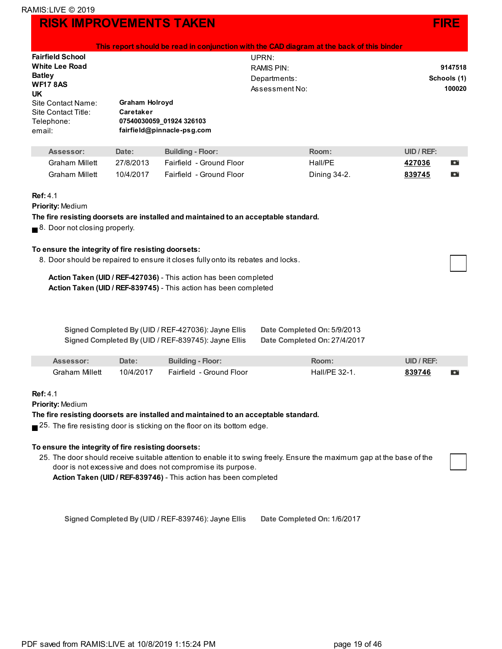|                                                                                                                                                                                                                                                                                                                                                                                                                                    |                                    |                                                                                                            | This report should be read in conjunction with the CAD diagram at the back of this binder |            |             |
|------------------------------------------------------------------------------------------------------------------------------------------------------------------------------------------------------------------------------------------------------------------------------------------------------------------------------------------------------------------------------------------------------------------------------------|------------------------------------|------------------------------------------------------------------------------------------------------------|-------------------------------------------------------------------------------------------|------------|-------------|
| <b>Fairfield School</b>                                                                                                                                                                                                                                                                                                                                                                                                            |                                    |                                                                                                            | UPRN:                                                                                     |            |             |
| <b>White Lee Road</b>                                                                                                                                                                                                                                                                                                                                                                                                              |                                    |                                                                                                            | <b>RAMIS PIN:</b>                                                                         |            | 9147518     |
| <b>Batley</b>                                                                                                                                                                                                                                                                                                                                                                                                                      |                                    |                                                                                                            | Departments:                                                                              |            | Schools (1) |
| <b>WF17 8AS</b>                                                                                                                                                                                                                                                                                                                                                                                                                    |                                    |                                                                                                            | Assessment No:                                                                            |            | 100020      |
| <b>UK</b>                                                                                                                                                                                                                                                                                                                                                                                                                          |                                    |                                                                                                            |                                                                                           |            |             |
| Site Contact Name:<br>Site Contact Title:                                                                                                                                                                                                                                                                                                                                                                                          | <b>Graham Holroyd</b><br>Caretaker |                                                                                                            |                                                                                           |            |             |
| Telephone:                                                                                                                                                                                                                                                                                                                                                                                                                         |                                    | 07540030059_01924 326103                                                                                   |                                                                                           |            |             |
| email:                                                                                                                                                                                                                                                                                                                                                                                                                             |                                    | fairfield@pinnacle-psg.com                                                                                 |                                                                                           |            |             |
|                                                                                                                                                                                                                                                                                                                                                                                                                                    |                                    |                                                                                                            |                                                                                           |            |             |
| Assessor:                                                                                                                                                                                                                                                                                                                                                                                                                          | Date:                              | <b>Building - Floor:</b>                                                                                   | Room:                                                                                     | UID / REF: |             |
| <b>Graham Millett</b>                                                                                                                                                                                                                                                                                                                                                                                                              | 27/8/2013                          | Fairfield - Ground Floor                                                                                   | Hall/PE                                                                                   | 427036     | D           |
| <b>Graham Millett</b>                                                                                                                                                                                                                                                                                                                                                                                                              | 10/4/2017                          | Fairfield - Ground Floor                                                                                   | Dining 34-2.                                                                              | 839745     | D           |
| <b>Priority: Medium</b><br>The fire resisting doorsets are installed and maintained to an acceptable standard.<br>8. Door not closing properly.<br>To ensure the integrity of fire resisting doorsets:<br>8. Door should be repaired to ensure it closes fully onto its rebates and locks.<br>Action Taken (UID / REF-427036) - This action has been completed<br>Action Taken (UID / REF-839745) - This action has been completed |                                    |                                                                                                            |                                                                                           |            |             |
|                                                                                                                                                                                                                                                                                                                                                                                                                                    |                                    | Signed Completed By (UID / REF-427036): Jayne Ellis<br>Signed Completed By (UID / REF-839745): Jayne Ellis | Date Completed On: 5/9/2013<br>Date Completed On: 27/4/2017                               |            |             |
| Assessor:                                                                                                                                                                                                                                                                                                                                                                                                                          | Date:                              | <b>Building - Floor:</b>                                                                                   | Room:                                                                                     | UID / REF: |             |
| <b>Graham Millett</b>                                                                                                                                                                                                                                                                                                                                                                                                              | 10/4/2017                          | Fairfield - Ground Floor                                                                                   | Hall/PE 32-1.                                                                             | 839746     | o           |
| <b>Ref: 4.1</b><br><b>Priority: Medium</b>                                                                                                                                                                                                                                                                                                                                                                                         |                                    |                                                                                                            |                                                                                           |            |             |

#### **The fire resisting doorsets are installed and maintained to an acceptable standard.**

■ 25. The fire resisting door is sticking on the floor on its bottom edge.

#### **To ensure the integrity of fire resisting doorsets:**

25. The door should receive suitable attention to enable it to swing freely. Ensure the maximum gap at the base of the door is not excessive and does not compromise its purpose. **Action Taken (UID / REF-839746)** - This action has been completed

**Signed Completed By** (UID / REF-839746): Jayne Ellis **Date Completed On:** 1/6/2017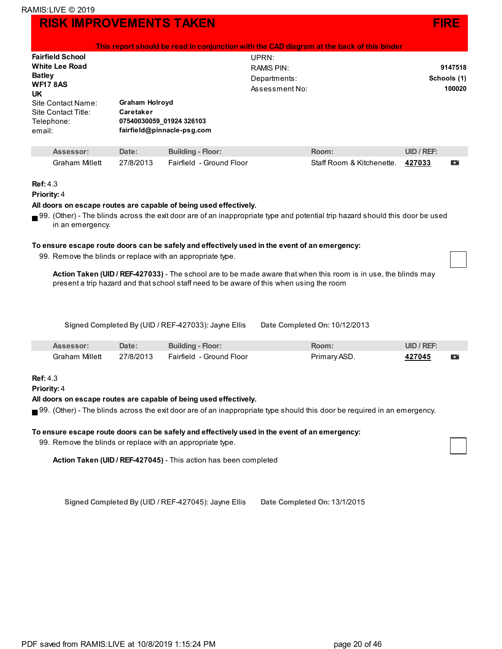|                                                                   |                                    |                                                        |                | This report should be read in conjunction with the CAD diagram at the back of this binder |               |             |
|-------------------------------------------------------------------|------------------------------------|--------------------------------------------------------|----------------|-------------------------------------------------------------------------------------------|---------------|-------------|
| <b>Fairfield School</b>                                           |                                    |                                                        | UPRN:          |                                                                                           |               |             |
| White Lee Road                                                    |                                    |                                                        | RAMIS PIN:     |                                                                                           |               | 9147518     |
| <b>Batley</b>                                                     |                                    |                                                        | Departments:   |                                                                                           |               | Schools (1) |
| <b>WF17 8AS</b><br>UK                                             |                                    |                                                        | Assessment No: |                                                                                           |               | 100020      |
| Site Contact Name:<br>Site Contact Title:<br>Telephone:<br>email: | <b>Graham Holroyd</b><br>Caretaker | 07540030059 01924 326103<br>fairfield@pinnacle-psg.com |                |                                                                                           |               |             |
| Assessor:                                                         | Date:                              | <b>Building - Floor:</b>                               |                | Room:                                                                                     | $UID / REF$ : |             |
| <b>Graham Millett</b>                                             | 27/8/2013                          | Fairfield - Ground Floor                               |                | Staff Room & Kitchenette.                                                                 | 427033        | o           |

#### **Ref:** 4.3

#### **Priority:** 4

#### **All doors on escape routes are capable of being used effectively.**

99. (Other) - The blinds across the exit door are of an inappropriate type and potential trip hazard should this door be used in an emergency.

#### **To ensure escape route doors can be safely and effectively used in the event of an emergency:**

99. Remove the blinds or replace with an appropriate type.

**Action Taken (UID / REF-427033)** - The school are to be made aware that when this room is in use, the blinds may present a trip hazard and that school staff need to be aware of this when using the room

**Signed Completed By** (UID / REF-427033): Jayne Ellis **Date Completed On:** 10/12/2013

| <b>Assessor</b> : | Date:     | <b>Building - Floor:</b> | Room:       | $UID / REF$ : |   |
|-------------------|-----------|--------------------------|-------------|---------------|---|
| Graham Millett    | 27/8/2013 | Fairfield - Ground Floor | Primary ASD | +27045        | o |

#### **Ref:** 4.3

**Priority:** 4

#### **All doors on escape routes are capable of being used effectively.**

99. (Other) - The blinds across the exit door are of an inappropriate type should this door be required in an emergency.

#### **To ensure escape route doors can be safely and effectively used in the event of an emergency:**

99. Remove the blinds or replace with an appropriate type.

**Action Taken (UID / REF-427045)** - This action has been completed

**Signed Completed By** (UID / REF-427045): Jayne Ellis **Date Completed On:** 13/1/2015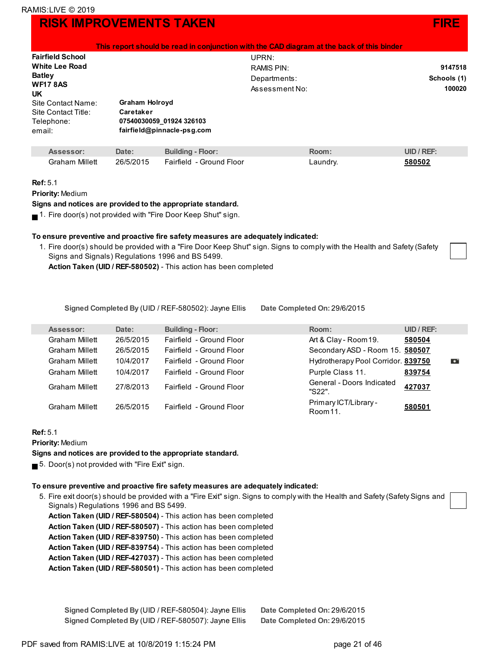| <b>Fairfield School</b> |                            | UPRN:          |             |
|-------------------------|----------------------------|----------------|-------------|
| <b>White Lee Road</b>   |                            | RAMIS PIN:     | 9147518     |
| <b>Batley</b>           |                            | Departments:   | Schools (1) |
| <b>WF17 8AS</b><br>UK   |                            | Assessment No: | 100020      |
| Site Contact Name:      | <b>Graham Holroyd</b>      |                |             |
| Site Contact Title:     | Caretaker                  |                |             |
| Telephone:              | 07540030059 01924 326103   |                |             |
| email:                  | fairfield@pinnacle-psg.com |                |             |

| Assessor:      | Date:     | <b>Building - Floor:</b> | Room∶    | UID / REF: |
|----------------|-----------|--------------------------|----------|------------|
| Graham Millett | 26/5/2015 | Fairfield - Ground Floor | Laundry. | 580502     |

#### **Ref:** 5.1

**Priority:** Medium

**Signs and notices are provided to the appropriate standard.**

 $\blacksquare$  1. Fire door(s) not provided with "Fire Door Keep Shut" sign.

#### **To ensure preventive and proactive fire safety measures are adequately indicated:**

1. Fire door(s) should be provided with a "Fire Door Keep Shut" sign. Signs to comply with the Health and Safety (Safety Signs and Signals) Regulations 1996 and BS 5499.

**Action Taken (UID / REF-580502)** - This action has been completed

**Signed Completed By** (UID / REF-580502): Jayne Ellis **Date Completed On:** 29/6/2015

| Assessor:             | Date:     | <b>Building - Floor:</b> | Room:                                         | <b>UID / REF:</b> |           |
|-----------------------|-----------|--------------------------|-----------------------------------------------|-------------------|-----------|
| <b>Graham Millett</b> | 26/5/2015 | Fairfield - Ground Floor | Art & Clay - Room 19.                         | 580504            |           |
| <b>Graham Millett</b> | 26/5/2015 | Fairfield - Ground Floor | Secondary ASD - Room 15. 580507               |                   |           |
| Graham Millett        | 10/4/2017 | Fairfield - Ground Floor | Hydrotherapy Pool Corridor. 839750            |                   | $\bullet$ |
| <b>Graham Millett</b> | 10/4/2017 | Fairfield - Ground Floor | Purple Class 11.                              | 839754            |           |
| <b>Graham Millett</b> | 27/8/2013 | Fairfield - Ground Floor | General - Doors Indicated<br>"S22".           | 427037            |           |
| Graham Millett        | 26/5/2015 | Fairfield - Ground Floor | Primary ICT/Library -<br>Room <sub>11</sub> . | 580501            |           |

#### **Ref:** 5.1

**Priority:** Medium

**Signs and notices are provided to the appropriate standard.**

5. Door(s) not provided with "Fire Exit" sign.

#### **To ensure preventive and proactive fire safety measures are adequately indicated:**

- 5. Fire exit door(s) should be provided with a "Fire Exit" sign. Signs to comply with the Health and Safety (Safety Signs and Signals) Regulations 1996 and BS 5499.
	- **Action Taken (UID / REF-580504)** This action has been completed
	- **Action Taken (UID / REF-580507)** This action has been completed
	- **Action Taken (UID / REF-839750)** This action has been completed
	- **Action Taken (UID / REF-839754)** This action has been completed
	- **Action Taken (UID / REF-427037)** This action has been completed
	- **Action Taken (UID / REF-580501)** This action has been completed

| Signed Completed By (UID / REF-580504): Jayne Ellis | Date Completed On: 29/6/2015 |
|-----------------------------------------------------|------------------------------|
| Signed Completed By (UID / REF-580507): Jayne Ellis | Date Completed On: 29/6/2015 |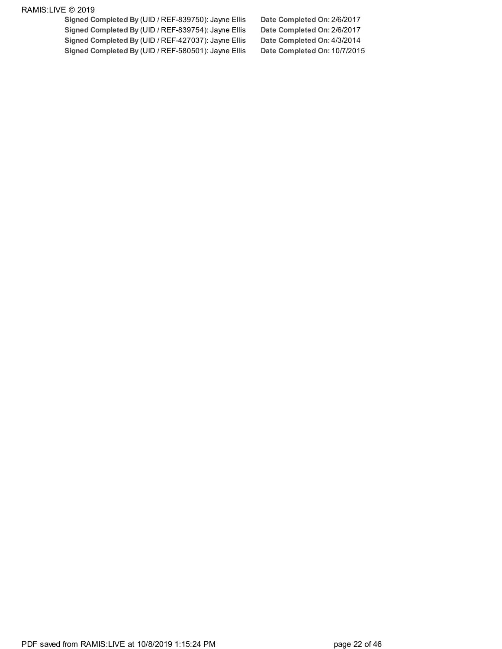**Signed Completed By** (UID / REF-839750): Jayne Ellis **Date Completed On:** 2/6/2017 **Signed Completed By** (UID / REF-839754): Jayne Ellis **Date Completed On:** 2/6/2017 **Signed Completed By** (UID / REF-427037): Jayne Ellis **Date Completed On:** 4/3/2014 **Signed Completed By** (UID / REF-580501): Jayne Ellis **Date Completed On:** 10/7/2015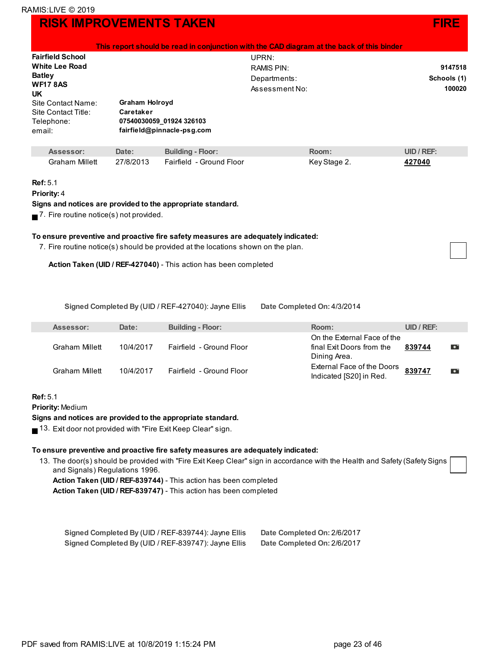### **RISK IMPROVEMENTS TAKEN FIRE AND INSTALLER IN THE RESERVE EXAMPLE ASSESSED FIRE**

| <b>Fairfield School</b><br><b>White Lee Road</b><br><b>Batley</b><br><b>WF178AS</b><br><b>UK</b><br>Site Contact Name:<br>Site Contact Title:<br>Telephone:<br>email: | Graham Holroyd<br>Caretaker | This report should be read in conjunction with the CAD diagram at the back of this binder<br>07540030059_01924 326103<br>fairfield@pinnacle-psg.com | UPRN:<br><b>RAMIS PIN:</b><br>Departments:<br>Assessment No: |              |                   | 9147518<br>Schools (1)<br>100020 |
|-----------------------------------------------------------------------------------------------------------------------------------------------------------------------|-----------------------------|-----------------------------------------------------------------------------------------------------------------------------------------------------|--------------------------------------------------------------|--------------|-------------------|----------------------------------|
| Assessor:                                                                                                                                                             | Date:                       | <b>Building - Floor:</b>                                                                                                                            |                                                              | Room:        | <b>UID / REF:</b> |                                  |
| Graham Millett                                                                                                                                                        | 27/8/2013                   | Fairfield - Ground Floor                                                                                                                            |                                                              | Key Stage 2. | 427040            |                                  |
| Ref: 5.1<br><b>Priority: 4</b><br>$\blacksquare$ 7. Fire routine notice(s) not provided.                                                                              |                             | Signs and notices are provided to the appropriate standard.                                                                                         |                                                              |              |                   |                                  |

#### **To ensure preventive and proactive fire safety measures are adequately indicated:**

7. Fire routine notice(s) should be provided at the locations shown on the plan.

**Action Taken (UID / REF-427040)** - This action has been completed

**Signed Completed By** (UID / REF-427040): Jayne Ellis **Date Completed On:** 4/3/2014

| Assessor:      | Date:     | <b>Building - Floor:</b> | Room:                                                                    | UID / REF |  |
|----------------|-----------|--------------------------|--------------------------------------------------------------------------|-----------|--|
| Graham Millett | 10/4/2017 | Fairfield - Ground Floor | On the External Face of the<br>final Exit Doors from the<br>Dining Area. | 839744    |  |
| Graham Millett | 10/4/2017 | Fairfield - Ground Floor | External Face of the Doors<br>Indicated [S20] in Red.                    | 839747    |  |

#### **Ref:** 5.1

**Priority:** Medium

#### **Signs and notices are provided to the appropriate standard.**

13. Exit door not provided with "Fire Exit Keep Clear" sign.

#### **To ensure preventive and proactive fire safety measures are adequately indicated:**

13. The door(s) should be provided with "Fire Exit Keep Clear" sign in accordance with the Health and Safety (Safety Signs and Signals) Regulations 1996.

**Action Taken (UID / REF-839744)** - This action has been completed

**Action Taken (UID / REF-839747)** - This action has been completed

| Signed Completed By (UID / REF-839744): Jayne Ellis | Date Completed On: 2/6/2017 |
|-----------------------------------------------------|-----------------------------|
| Signed Completed By (UID / REF-839747): Jayne Ellis | Date Completed On: 2/6/2017 |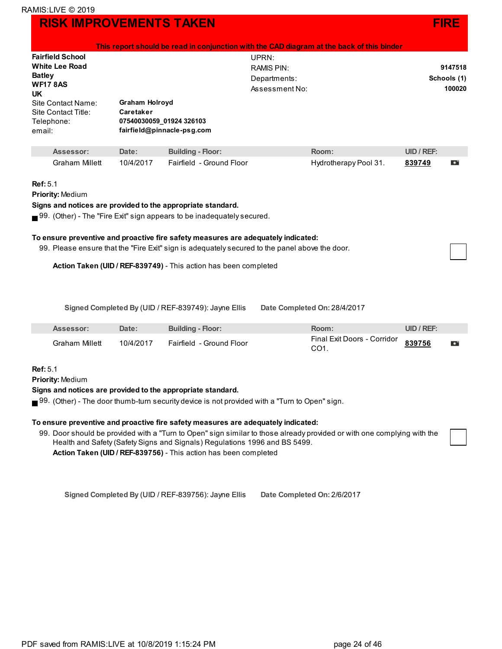|                                                                   |                                    | This report should be read in conjunction with the CAD diagram at the back of this binder                                                                                  |                   |                       |                   |             |
|-------------------------------------------------------------------|------------------------------------|----------------------------------------------------------------------------------------------------------------------------------------------------------------------------|-------------------|-----------------------|-------------------|-------------|
| <b>Fairfield School</b>                                           |                                    |                                                                                                                                                                            | UPRN:             |                       |                   |             |
| <b>White Lee Road</b>                                             |                                    |                                                                                                                                                                            | <b>RAMIS PIN:</b> |                       |                   | 9147518     |
| <b>Batley</b>                                                     |                                    |                                                                                                                                                                            | Departments:      |                       |                   | Schools (1) |
| <b>WF178AS</b><br><b>UK</b>                                       |                                    |                                                                                                                                                                            | Assessment No:    |                       |                   | 100020      |
| Site Contact Name:<br>Site Contact Title:<br>Telephone:<br>email: | <b>Graham Holroyd</b><br>Caretaker | 07540030059_01924 326103<br>fairfield@pinnacle-psg.com                                                                                                                     |                   |                       |                   |             |
| Assessor:                                                         | Date:                              | <b>Building - Floor:</b>                                                                                                                                                   |                   | Room:                 | <b>UID / REF:</b> |             |
| <b>Graham Millett</b>                                             | 10/4/2017                          | Fairfield - Ground Floor                                                                                                                                                   |                   | Hydrotherapy Pool 31. | 839749            | o           |
| <b>Ref: 5.1</b>                                                   |                                    |                                                                                                                                                                            |                   |                       |                   |             |
| <b>Priority: Medium</b>                                           |                                    |                                                                                                                                                                            |                   |                       |                   |             |
| Signs and notices are provided to the appropriate standard.       |                                    |                                                                                                                                                                            |                   |                       |                   |             |
|                                                                   |                                    | $\blacksquare$ 99. (Other) - The "Fire Exit" sign appears to be inadequately secured.<br>To ensure preventive and proactive fire safety measures are adequately indicated: |                   |                       |                   |             |

99. Please ensure that the "Fire Exit" sign is adequately secured to the panel above the door.

**Action Taken (UID / REF-839749)** - This action has been completed

**Signed Completed By** (UID / REF-839749): Jayne Ellis **Date Completed On:** 28/4/2017

| Assessor:      | <b>Date:</b> | Building - Floor:        | Room:                                     | UID / REF: |  |
|----------------|--------------|--------------------------|-------------------------------------------|------------|--|
| Graham Millett | 10/4/2017    | Fairfield - Ground Floor | Final Exit Doors - Corridor 839756<br>CO1 |            |  |

#### **Ref:** 5.1

T

**Priority:** Medium

#### **Signs and notices are provided to the appropriate standard.**

99. (Other) - The door thumb-turn security device is not provided with a "Turn to Open" sign.

#### **To ensure preventive and proactive fire safety measures are adequately indicated:**

99. Door should be provided with a "Turn to Open" sign similar to those already provided or with one complying with th[e](http://live.ramis.com/task_items.asp?fra=100020&comp_id=119404&type=0&task_id=1083036) Health and Safety (Safety Signs and Signals) Regulations 1996 and BS 5499. **Action Taken (UID / REF-839756)** - This action has been completed

**Signed Completed By** (UID / REF-839756): Jayne Ellis **Date Completed On:** 2/6/2017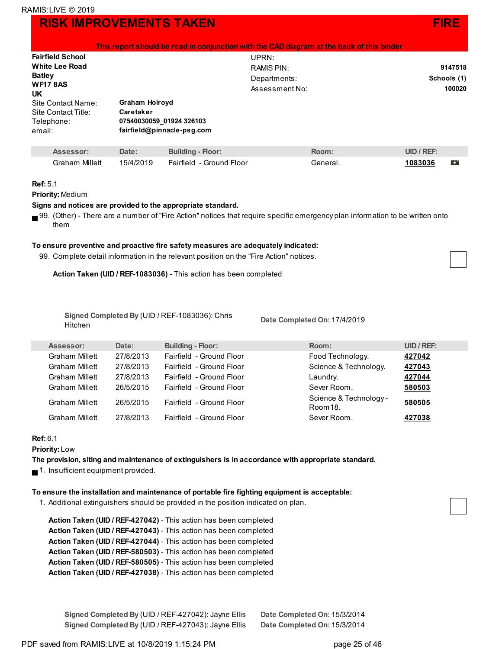|                                                                                                                    |                                    |                                                        | This report should be read in conjunction with the CAD diagram at the back of this binder |                       |
|--------------------------------------------------------------------------------------------------------------------|------------------------------------|--------------------------------------------------------|-------------------------------------------------------------------------------------------|-----------------------|
| <b>Fairfield School</b><br><b>White Lee Road</b>                                                                   |                                    |                                                        | UPRN:<br>RAMIS PIN:                                                                       | 9147518               |
| <b>Batley</b><br><b>WF17 8AS</b><br><b>UK</b><br>Site Contact Name:<br>Site Contact Title:<br>Telephone:<br>email: | <b>Graham Holroyd</b><br>Caretaker | 07540030059 01924 326103<br>fairfield@pinnacle-psg.com | Departments:<br>Assessment No:                                                            | Schools (1)<br>100020 |
| Accoccor:                                                                                                          | $D2$ to ·                          | <b>Ruilding - Floor:</b>                               | $D_{\Omega}$                                                                              | IID / DFE·            |

| Assessor:      | Date:     | <b>Building - Floor:</b>  | Room:    | UID / REF: |  |
|----------------|-----------|---------------------------|----------|------------|--|
| Graham Millett | 15/4/2019 | Fairfield  - Ground Floor | General. | 1083036    |  |

#### **Ref:** 5.1

**Priority:** Medium

#### **Signs and notices are provided to the appropriate standard.**

99. (Other) - There are a number of "Fire Action" notices that require specific emergency plan information to be written onto them

#### **To ensure preventive and proactive fire safety measures are adequately indicated:**

99. Complete detail information in the relevant position on the "Fire Action" notices.

**Action Taken (UID / REF-1083036)** - This action has been completed

**Signed Completed By** (UID / REF-1083036): Chris Hitchen

**Date Completed On:** 17/4/2019

| Assessor:             | Date:     | <b>Building - Floor:</b> | Room:                              | $UID / REF$ : |
|-----------------------|-----------|--------------------------|------------------------------------|---------------|
| <b>Graham Millett</b> | 27/8/2013 | Fairfield - Ground Floor | Food Technology.                   | 427042        |
| <b>Graham Millett</b> | 27/8/2013 | Fairfield - Ground Floor | Science & Technology.              | 427043        |
| <b>Graham Millett</b> | 27/8/2013 | Fairfield - Ground Floor | Laundry.                           | 427044        |
| <b>Graham Millett</b> | 26/5/2015 | Fairfield - Ground Floor | Sever Room.                        | 580503        |
| <b>Graham Millett</b> | 26/5/2015 | Fairfield - Ground Floor | Science & Technology -<br>Room 18. | 580505        |
| Graham Millett        | 27/8/2013 | Fairfield - Ground Floor | Sever Room.                        | 427038        |
|                       |           |                          |                                    |               |

#### **Ref:** 6.1

**Priority:** Low

**The provision, siting and maintenance of extinguishers is in accordance with appropriate standard.**

 $\blacksquare$  1. Insufficient equipment provided.

#### **To ensure the installation and maintenance of portable fire fighting equipment is acceptable:**

1. Additional extinguishers should be provided in the position indicated on plan.

| Action Taken (UID / REF-427042) - This action has been completed |
|------------------------------------------------------------------|
| Action Taken (UID / REF-427043) - This action has been completed |
| Action Taken (UID / REF-427044) - This action has been completed |
| Action Taken (UID / REF-580503) - This action has been completed |
| Action Taken (UID / REF-580505) - This action has been completed |
| Action Taken (UID / REF-427038) - This action has been completed |

| Signed Completed By (UID / REF-427042): Jayne Ellis | Date Completed On: 15/3/2014 |
|-----------------------------------------------------|------------------------------|
| Signed Completed By (UID / REF-427043): Jayne Ellis | Date Completed On: 15/3/2014 |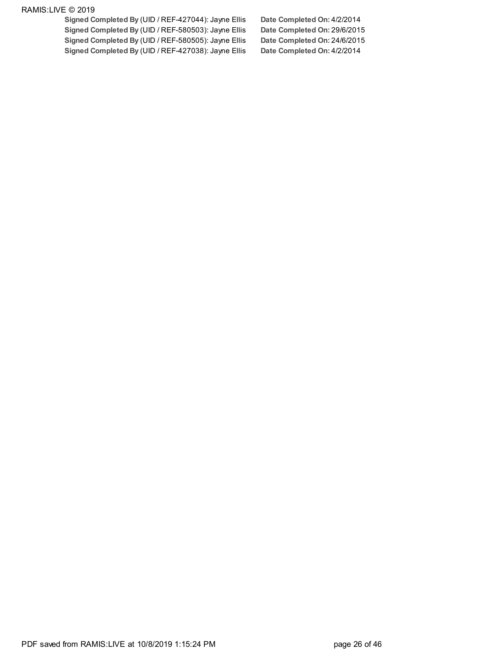**Signed Completed By** (UID / REF-427044): Jayne Ellis **Date Completed On:** 4/2/2014 **Signed Completed By** (UID / REF-580503): Jayne Ellis **Date Completed On:** 29/6/2015 **Signed Completed By** (UID / REF-580505): Jayne Ellis **Date Completed On:** 24/6/2015 **Signed Completed By** (UID / REF-427038): Jayne Ellis **Date Completed On:** 4/2/2014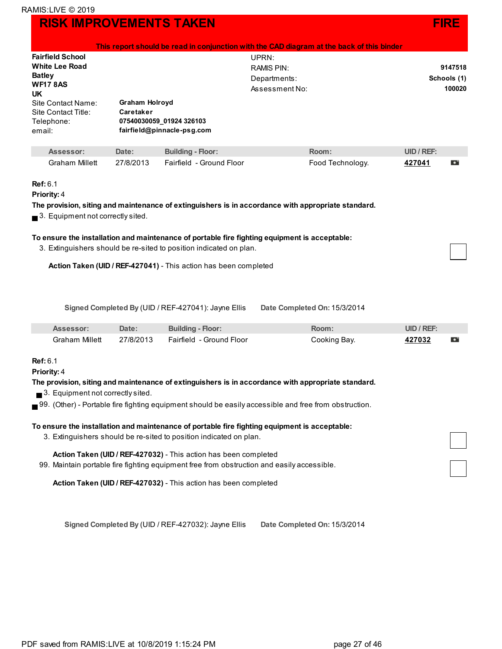|                                                  |                |                                                                    | This report should be read in conjunction with the CAD diagram at the back of this binder             |            |             |
|--------------------------------------------------|----------------|--------------------------------------------------------------------|-------------------------------------------------------------------------------------------------------|------------|-------------|
| <b>Fairfield School</b>                          |                |                                                                    | UPRN:                                                                                                 |            |             |
| <b>White Lee Road</b>                            |                |                                                                    | <b>RAMIS PIN:</b>                                                                                     |            | 9147518     |
| <b>Batley</b>                                    |                |                                                                    | Departments:                                                                                          |            | Schools (1) |
| <b>WF178AS</b>                                   |                |                                                                    | Assessment No:                                                                                        |            | 100020      |
| UK.                                              |                |                                                                    |                                                                                                       |            |             |
| <b>Site Contact Name:</b>                        | Graham Holroyd |                                                                    |                                                                                                       |            |             |
| Site Contact Title:                              | Caretaker      |                                                                    |                                                                                                       |            |             |
| Telephone:                                       |                | 07540030059_01924 326103                                           |                                                                                                       |            |             |
| email:                                           |                | fairfield@pinnacle-psg.com                                         |                                                                                                       |            |             |
| Assessor:                                        | Date:          | <b>Building - Floor:</b>                                           | Room:                                                                                                 | UID / REF: |             |
| <b>Graham Millett</b>                            | 27/8/2013      | Fairfield - Ground Floor                                           | Food Technology.                                                                                      | 427041     | D           |
|                                                  |                |                                                                    |                                                                                                       |            |             |
| Ref: 6.1<br>Priority: 4                          |                |                                                                    |                                                                                                       |            |             |
|                                                  |                |                                                                    |                                                                                                       |            |             |
|                                                  |                |                                                                    | The provision, siting and maintenance of extinguishers is in accordance with appropriate standard.    |            |             |
| $\blacksquare$ 3. Equipment not correctly sited. |                |                                                                    |                                                                                                       |            |             |
|                                                  |                |                                                                    | To ensure the installation and maintenance of portable fire fighting equipment is acceptable:         |            |             |
|                                                  |                | 3. Extinguishers should be re-sited to position indicated on plan. |                                                                                                       |            |             |
|                                                  |                |                                                                    |                                                                                                       |            |             |
|                                                  |                | Action Taken (UID / REF-427041) - This action has been completed   |                                                                                                       |            |             |
|                                                  |                |                                                                    |                                                                                                       |            |             |
|                                                  |                |                                                                    |                                                                                                       |            |             |
|                                                  |                |                                                                    |                                                                                                       |            |             |
|                                                  |                | Signed Completed By (UID / REF-427041): Jayne Ellis                | Date Completed On: 15/3/2014                                                                          |            |             |
|                                                  |                |                                                                    |                                                                                                       |            |             |
| Assessor:                                        | Date:          | <b>Building - Floor:</b>                                           | Room:                                                                                                 | UID / REF: |             |
| <b>Graham Millett</b>                            | 27/8/2013      | Fairfield - Ground Floor                                           | Cooking Bay.                                                                                          | 427032     | D           |
|                                                  |                |                                                                    |                                                                                                       |            |             |
| Ref: 6.1                                         |                |                                                                    |                                                                                                       |            |             |
| <b>Priority: 4</b>                               |                |                                                                    |                                                                                                       |            |             |
|                                                  |                |                                                                    | The provision, siting and maintenance of extinguishers is in accordance with appropriate standard.    |            |             |
| $\blacksquare$ 3. Equipment not correctly sited. |                |                                                                    |                                                                                                       |            |             |
|                                                  |                |                                                                    |                                                                                                       |            |             |
|                                                  |                |                                                                    | 99. (Other) - Portable fire fighting equipment should be easily accessible and free from obstruction. |            |             |
|                                                  |                |                                                                    | To ensure the installation and maintenance of portable fire fighting equipment is acceptable:         |            |             |
|                                                  |                | 3. Extinguishers should be re-sited to position indicated on plan. |                                                                                                       |            |             |
|                                                  |                |                                                                    |                                                                                                       |            |             |
|                                                  |                | Action Taken (UID / REF-427032) - This action has been completed   |                                                                                                       |            |             |
|                                                  |                |                                                                    | 99. Maintain portable fire fighting equipment free from obstruction and easily accessible.            |            |             |
|                                                  |                |                                                                    |                                                                                                       |            |             |
|                                                  |                | Action Taken (UID / REF-427032) - This action has been completed   |                                                                                                       |            |             |
|                                                  |                |                                                                    |                                                                                                       |            |             |
|                                                  |                |                                                                    |                                                                                                       |            |             |
|                                                  |                |                                                                    |                                                                                                       |            |             |

**Signed Completed By** (UID / REF-427032): Jayne Ellis **Date Completed On:** 15/3/2014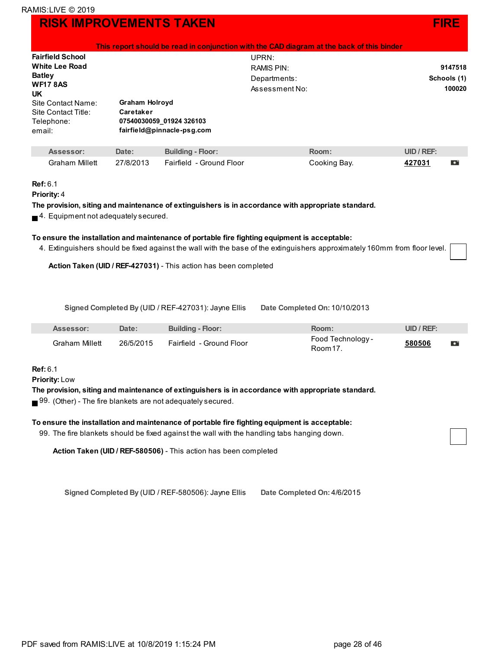|                              | This report should be read in conjunction with the CAD diagram at the back of this binder |                |             |  |  |  |
|------------------------------|-------------------------------------------------------------------------------------------|----------------|-------------|--|--|--|
| <b>Fairfield School</b>      |                                                                                           | UPRN:          |             |  |  |  |
| <b>White Lee Road</b>        |                                                                                           | RAMIS PIN:     | 9147518     |  |  |  |
| <b>Batley</b>                |                                                                                           | Departments:   | Schools (1) |  |  |  |
| <b>WF17 8AS</b><br><b>UK</b> |                                                                                           | Assessment No: | 100020      |  |  |  |
| Site Contact Name:           | <b>Graham Holroyd</b>                                                                     |                |             |  |  |  |
| Site Contact Title:          | Caretaker                                                                                 |                |             |  |  |  |
| Telephone:                   | 07540030059 01924 326103                                                                  |                |             |  |  |  |
| email:                       | fairfield@pinnacle-psg.com                                                                |                |             |  |  |  |
|                              |                                                                                           |                |             |  |  |  |

| Assessor:      | Date: I | <b>Building - Floor:</b>           | Room:        | UID / REF |  |
|----------------|---------|------------------------------------|--------------|-----------|--|
| Graham Millett |         | 27/8/2013 Fairfield - Ground Floor | Cooking Bay. | 427031    |  |

#### **Ref:** 6.1

```
Priority: 4
```
**The provision, siting and maintenance of extinguishers is in accordance with appropriate standard.**

 $\blacksquare$  4. Equipment not adequately secured.

#### **To ensure the installation and maintenance of portable fire fighting equipment is acceptable:**

4. Extinguishers should be fixed against the wall with the base of the extinguishers approximately 160mm from floor level.

**Action Taken (UID / REF-427031)** - This action has been completed

**Signed Completed By** (UID / REF-427031): Jayne Ellis **Date Completed On:** 10/10/2013

| Assessor:      | Date:     | <b>Building - Floor:</b> | <b>Room:</b>                 | UID / REF: |  |
|----------------|-----------|--------------------------|------------------------------|------------|--|
| Graham Millett | 26/5/2015 | Fairfield - Ground Floor | Food Technology -<br>Room 17 | 580506     |  |

#### **Ref:** 6.1

**Priority:** Low

#### **The provision, siting and maintenance of extinguishers is in accordance with appropriate standard.**

 $\blacksquare$  99. (Other) - The fire blankets are not adequately secured.

#### **To ensure the installation and maintenance of portable fire fighting equipment is acceptable:**

99. The fire blankets should be fixed against the wall with the handling tabs hanging down.

**Action Taken (UID / REF-580506)** - This action has been completed

**Signed Completed By** (UID / REF-580506): Jayne Ellis **Date Completed On:** 4/6/2015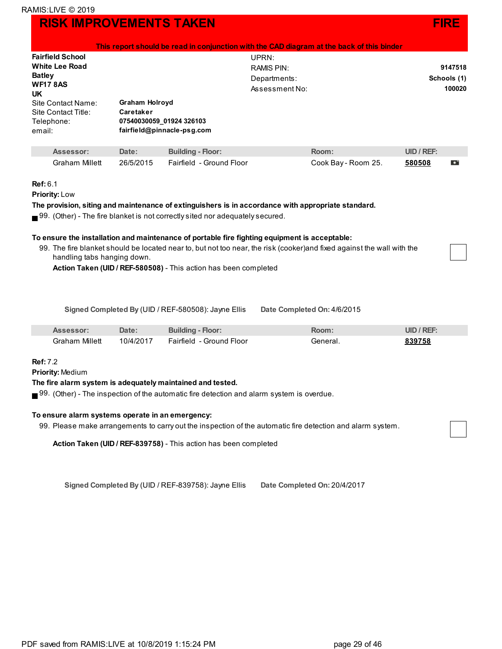|                                                                                                                                                                                                                                                                        |                    |                                                                                                                                                                                                                                                                                                                                                                         |  | This report should be read in conjunction with the CAD diagram at the back of this binder                               |                                  |   |
|------------------------------------------------------------------------------------------------------------------------------------------------------------------------------------------------------------------------------------------------------------------------|--------------------|-------------------------------------------------------------------------------------------------------------------------------------------------------------------------------------------------------------------------------------------------------------------------------------------------------------------------------------------------------------------------|--|-------------------------------------------------------------------------------------------------------------------------|----------------------------------|---|
| <b>Fairfield School</b><br><b>White Lee Road</b><br><b>Batley</b><br><b>WF17 8AS</b><br><b>UK</b><br><b>Graham Holroyd</b><br>Site Contact Name:<br>Caretaker<br>Site Contact Title:<br>07540030059 01924 326103<br>Telephone:<br>fairfield@pinnacle-psg.com<br>email: |                    | UPRN:<br><b>RAMIS PIN:</b><br>Departments:<br>Assessment No:                                                                                                                                                                                                                                                                                                            |  |                                                                                                                         | 9147518<br>Schools (1)<br>100020 |   |
| Assessor:<br><b>Graham Millett</b>                                                                                                                                                                                                                                     | Date:<br>26/5/2015 | <b>Building - Floor:</b><br>Fairfield - Ground Floor                                                                                                                                                                                                                                                                                                                    |  | Room:<br>Cook Bay - Room 25.                                                                                            | $UID / REF$ :<br>580508          | О |
| Ref: 6.1<br><b>Priority: Low</b><br>handling tabs hanging down.                                                                                                                                                                                                        |                    | The provision, siting and maintenance of extinguishers is in accordance with appropriate standard.<br>$\blacksquare$ 99. (Other) - The fire blanket is not correctly sited nor adequately secured.<br>To ensure the installation and maintenance of portable fire fighting equipment is acceptable:<br>Action Taken (UID / REF-580508) - This action has been completed |  | 99. The fire blanket should be located near to, but not too near, the risk (cooker) and fixed against the wall with the |                                  |   |

**Signed Completed By** (UID / REF-580508): Jayne Ellis **Date Completed On:** 4/6/2015

|                | <b>Date:</b> | <b>Building - Floor:</b>      | <b>Room:</b> | UID / REF |
|----------------|--------------|-------------------------------|--------------|-----------|
| Graham Millett | 10/4/2017    | L - Ground Floor<br>Fairfield | ∃eneral      | 39758     |

**Ref:** 7.2

**Priority:** Medium

#### **The fire alarm system is adequately maintained and tested.**

■ 99. (Other) - The inspection of the automatic fire detection and alarm system is overdue.

#### **To ensure alarm systems operate in an emergency:**

99. Please make arrangements to carry out the inspection of the automatic fire detection and alarm system.

**Action Taken (UID / REF-839758)** - This action has been completed

**Signed Completed By** (UID / REF-839758): Jayne Ellis **Date Completed On:** 20/4/2017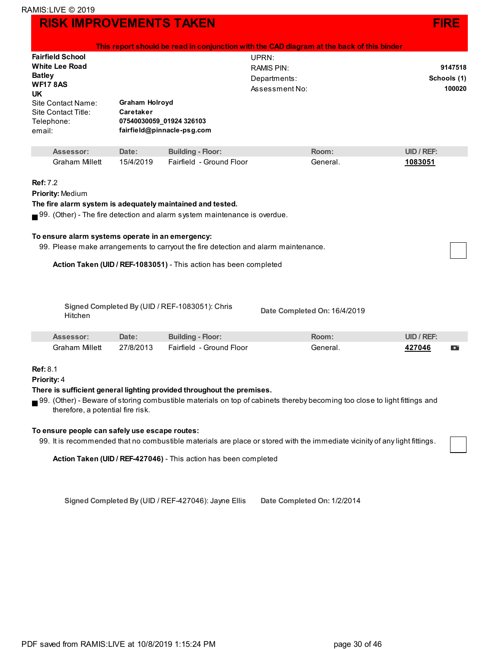|                                                            |                             |                                                                                          | This report should be read in conjunction with the CAD diagram at the back of this binder                                        |                   |                        |  |
|------------------------------------------------------------|-----------------------------|------------------------------------------------------------------------------------------|----------------------------------------------------------------------------------------------------------------------------------|-------------------|------------------------|--|
| <b>Fairfield School</b><br><b>White Lee Road</b>           |                             |                                                                                          | UPRN:<br><b>RAMIS PIN:</b>                                                                                                       |                   |                        |  |
| <b>Batley</b>                                              |                             |                                                                                          | Departments:                                                                                                                     |                   | 9147518<br>Schools (1) |  |
| <b>WF17 8AS</b>                                            |                             |                                                                                          | Assessment No:                                                                                                                   |                   | 100020                 |  |
| UK                                                         |                             |                                                                                          |                                                                                                                                  |                   |                        |  |
| Site Contact Name:<br>Site Contact Title:                  | Graham Holroyd<br>Caretaker |                                                                                          |                                                                                                                                  |                   |                        |  |
| Telephone:                                                 |                             | 07540030059_01924 326103                                                                 |                                                                                                                                  |                   |                        |  |
| email:                                                     |                             | fairfield@pinnacle-psg.com                                                               |                                                                                                                                  |                   |                        |  |
|                                                            |                             |                                                                                          |                                                                                                                                  |                   |                        |  |
| Assessor:                                                  | Date:                       | <b>Building - Floor:</b>                                                                 | Room:                                                                                                                            | <b>UID / REF:</b> |                        |  |
| <b>Graham Millett</b>                                      | 15/4/2019                   | Fairfield - Ground Floor                                                                 | General.                                                                                                                         | 1083051           |                        |  |
| <b>Ref: 7.2</b>                                            |                             |                                                                                          |                                                                                                                                  |                   |                        |  |
| Priority: Medium                                           |                             |                                                                                          |                                                                                                                                  |                   |                        |  |
| The fire alarm system is adequately maintained and tested. |                             |                                                                                          |                                                                                                                                  |                   |                        |  |
|                                                            |                             | $\blacksquare$ 99. (Other) - The fire detection and alarm system maintenance is overdue. |                                                                                                                                  |                   |                        |  |
|                                                            |                             |                                                                                          |                                                                                                                                  |                   |                        |  |
| To ensure alarm systems operate in an emergency:           |                             |                                                                                          |                                                                                                                                  |                   |                        |  |
|                                                            |                             | 99. Please make arrangements to carryout the fire detection and alarm maintenance.       |                                                                                                                                  |                   |                        |  |
|                                                            |                             |                                                                                          |                                                                                                                                  |                   |                        |  |
|                                                            |                             | Action Taken (UID / REF-1083051) - This action has been completed                        |                                                                                                                                  |                   |                        |  |
|                                                            |                             |                                                                                          |                                                                                                                                  |                   |                        |  |
|                                                            |                             |                                                                                          |                                                                                                                                  |                   |                        |  |
| Hitchen                                                    |                             | Signed Completed By (UID / REF-1083051): Chris                                           | Date Completed On: 16/4/2019                                                                                                     |                   |                        |  |
|                                                            |                             |                                                                                          |                                                                                                                                  |                   |                        |  |
| Assessor:                                                  | Date:                       | <b>Building - Floor:</b>                                                                 | Room:                                                                                                                            | UID / REF:        |                        |  |
| <b>Graham Millett</b>                                      | 27/8/2013                   | Fairfield - Ground Floor                                                                 | General.                                                                                                                         | 427046            | D                      |  |
|                                                            |                             |                                                                                          |                                                                                                                                  |                   |                        |  |
| <b>Ref: 8.1</b><br>Priority: 4                             |                             |                                                                                          |                                                                                                                                  |                   |                        |  |
|                                                            |                             | There is sufficient general lighting provided throughout the premises.                   |                                                                                                                                  |                   |                        |  |
|                                                            |                             |                                                                                          | 99. (Other) - Beware of storing combustible materials on top of cabinets thereby becoming too close to light fittings and        |                   |                        |  |
| therefore, a potential fire risk.                          |                             |                                                                                          |                                                                                                                                  |                   |                        |  |
|                                                            |                             |                                                                                          |                                                                                                                                  |                   |                        |  |
| To ensure people can safely use escape routes:             |                             |                                                                                          |                                                                                                                                  |                   |                        |  |
|                                                            |                             |                                                                                          | 00 little access of a substitution of contractivity and sensitive construction and the term of the statute of contract functions |                   |                        |  |

99. It is recommended that no combustible materials are place or stored with the immediate vicinity of any light fittings.

**Action Taken (UID / REF-427046)** - This action has been completed

**Signed Completed By** (UID / REF-427046): Jayne Ellis **Date Completed On:** 1/2/2014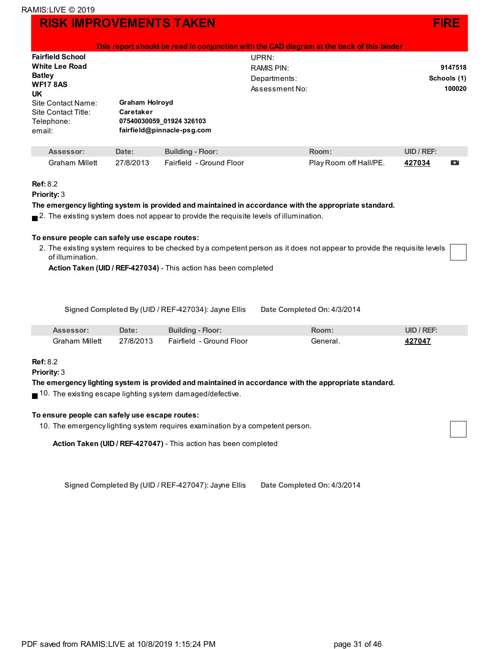| This report should be read in conjunction with the CAD diagram at the back of this binder |                            |                |             |  |
|-------------------------------------------------------------------------------------------|----------------------------|----------------|-------------|--|
| <b>Fairfield School</b>                                                                   |                            | UPRN:          |             |  |
| <b>White Lee Road</b>                                                                     |                            | RAMIS PIN:     | 9147518     |  |
| <b>Batley</b>                                                                             |                            | Departments:   | Schools (1) |  |
| <b>WF17 8AS</b><br><b>UK</b>                                                              |                            | Assessment No: | 100020      |  |
| Site Contact Name:                                                                        | <b>Graham Holroyd</b>      |                |             |  |
| Site Contact Title:                                                                       | Caretaker                  |                |             |  |
| Telephone:                                                                                | 07540030059 01924 326103   |                |             |  |
| email:                                                                                    | fairfield@pinnacle-psg.com |                |             |  |

| Assessor:      | Date: | <b>Building - Floor:</b>           | Room:                  | UID / REF: |  |
|----------------|-------|------------------------------------|------------------------|------------|--|
| Graham Millett |       | 27/8/2013 Fairfield - Ground Floor | Play Room off Hall/PE. | 427034     |  |

#### **Ref:** 8.2

**Priority:** 3

#### **The emergency lighting system is provided and maintained in accordance with the appropriate standard.**

 $\blacksquare$  2. The existing system does not appear to provide the requisite levels of illumination.

#### **To ensure people can safely use escape routes:**

2. The existing system requires to be checked by a competent person as it does not appear to provide the requisite levels of illumination.

**Action Taken (UID / REF-427034)** - This action has been completed

**Signed Completed By** (UID / REF-427034): Jayne Ellis **Date Completed On:** 4/3/2014

| <b>Assessor:</b> | Date:     | <b>Building - Floor:</b> | Room∶          | UID / REF: |
|------------------|-----------|--------------------------|----------------|------------|
| Graham Millett   | 27/8/2013 | Fairfield - Ground Floor | <b>Reneral</b> | 427047     |

#### **Ref:** 8.2

**Priority:** 3

#### **The emergency lighting system is provided and maintained in accordance with the appropriate standard.**

■ 10. The existing escape lighting system damaged/defective.

#### **To ensure people can safely use escape routes:**

10. The emergency lighting system requires examination by a competent person.

**Action Taken (UID / REF-427047)** - This action has been completed

**Signed Completed By** (UID / REF-427047): Jayne Ellis **Date Completed On:** 4/3/2014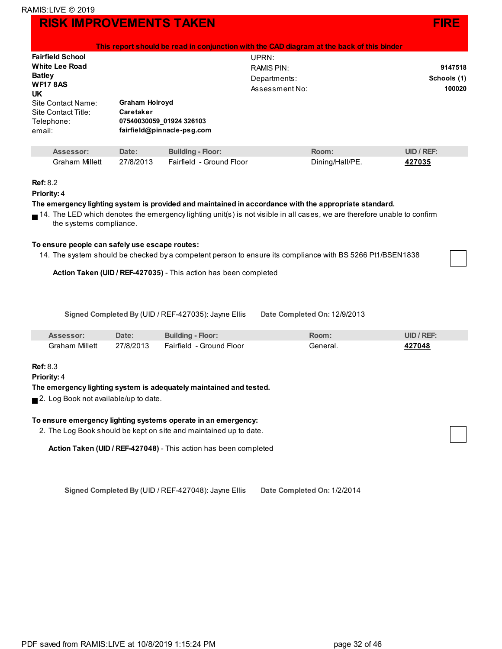|                              |                       |                            | This report should be read in conjunction with the CAD diagram at the back of this binder |               |
|------------------------------|-----------------------|----------------------------|-------------------------------------------------------------------------------------------|---------------|
| <b>Fairfield School</b>      |                       |                            | UPRN:                                                                                     |               |
| <b>White Lee Road</b>        |                       |                            | RAMIS PIN:                                                                                | 9147518       |
| <b>Batley</b>                |                       |                            | Departments:                                                                              | Schools (1)   |
| <b>WF17 8AS</b><br><b>UK</b> |                       |                            | Assessment No:                                                                            | 100020        |
| Site Contact Name:           | <b>Graham Holroyd</b> |                            |                                                                                           |               |
| Site Contact Title:          | Caretaker             |                            |                                                                                           |               |
| Telephone:                   |                       | 07540030059 01924 326103   |                                                                                           |               |
| email:                       |                       | fairfield@pinnacle-psg.com |                                                                                           |               |
| Assessor:                    | Date:                 | <b>Building - Floor:</b>   | Room:                                                                                     | $UID / REF$ : |
|                              |                       |                            |                                                                                           |               |

```
Priority: 4
```
#### **The emergency lighting system is provided and maintained in accordance with the appropriate standard.**

14. The LED which denotes the emergency lighting unit(s) is not visible in all cases, we are therefore unable to confirm the systems compliance.

Graham Millett 27/8/2013 Fairfield - Ground Floor **Dining/Hall/PE.** 427035

#### **To ensure people can safely use escape routes:**

14. The system should be checked by a competent person to ensure its compliance with BS 5266 Pt1/BSEN1838

**Action Taken (UID / REF-427035)** - This action has been completed

**Signed Completed By** (UID / REF-427035): Jayne Ellis **Date Completed On:** 12/9/2013

| Assessor:      | Date: I   | <b>Building - Floor:</b> | Room∶    | UID / REF |
|----------------|-----------|--------------------------|----------|-----------|
| Graham Millett | 27/8/2013 | Fairfield - Ground Floor | General. | 427048    |

#### **Ref:** 8.3

**Priority:** 4

#### **The emergency lighting system is adequately maintained and tested.**

■ 2. Log Book not available/up to date.

#### **To ensure emergency lighting systems operate in an emergency:**

2. The Log Book should be kept on site and maintained up to date.

**Action Taken (UID / REF-427048)** - This action has been completed

**Signed Completed By** (UID / REF-427048): Jayne Ellis **Date Completed On:** 1/2/2014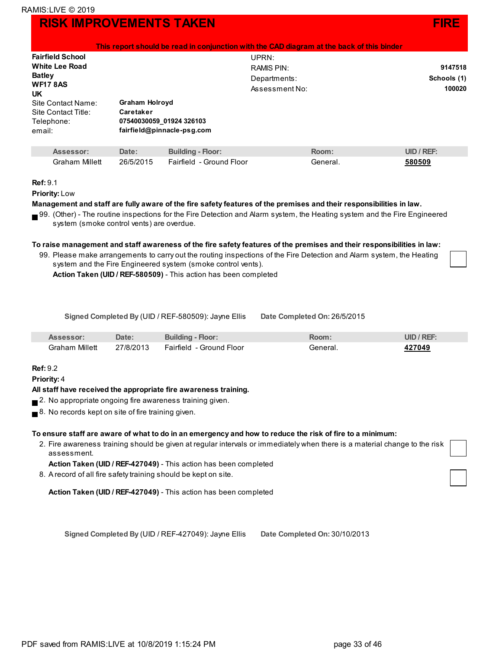|                         |                            | This report should be read in conjunction with the CAD diagram at the back of this binder |             |
|-------------------------|----------------------------|-------------------------------------------------------------------------------------------|-------------|
| <b>Fairfield School</b> |                            | UPRN:                                                                                     |             |
| <b>White Lee Road</b>   |                            | RAMIS PIN:                                                                                | 9147518     |
| <b>Batley</b>           | Departments:               |                                                                                           | Schools (1) |
| <b>WF17 8AS</b><br>UK.  |                            | Assessment No:                                                                            | 100020      |
| Site Contact Name:      | Graham Holroyd             |                                                                                           |             |
| Site Contact Title:     | Caretaker                  |                                                                                           |             |
| Telephone:              | 07540030059 01924 326103   |                                                                                           |             |
| email:                  | fairfield@pinnacle-psg.com |                                                                                           |             |
|                         |                            |                                                                                           |             |

| Assessor <sup>®</sup> | Date:     | <b>Building - Floor:</b> | Room:  | UID / REF: |
|-----------------------|-----------|--------------------------|--------|------------|
| Graham Millett        | 26/5/2015 | Fairfield - Ground Floor | Genera | 580509     |

#### **Ref:** 9.1

**Priority:** Low

#### Management and staff are fully aware of the fire safety features of the premises and their responsibilities in law.

99. (Other) - The routine inspections for the Fire Detection and Alarm system, the Heating system and the Fire Engineered system (smoke control vents) are overdue.

#### To raise management and staff awareness of the fire safety features of the premises and their responsibilities in law:

99. Please make arrangements to carry out the routing inspections of the Fire Detection and Alarm system, the Heating system and the Fire Engineered system (smoke control vents).

**Action Taken (UID / REF-580509)** - This action has been completed

**Signed Completed By** (UID / REF-580509): Jayne Ellis **Date Completed On:** 26/5/2015

| Assessor:             | Date:     | <b>Building - Floor:</b> | Room:    | JID / REF |
|-----------------------|-----------|--------------------------|----------|-----------|
| <b>Graham Millett</b> | 27/8/2013 | Fairfield - Ground Floor | General. | 427049    |

#### **Ref:** 9.2

**Priority:** 4

#### **All staff have received the appropriate fire awareness training.**

- 2. No appropriate ongoing fire awareness training given.
- $\blacksquare$  8. No records kept on site of fire training given.

#### To ensure staff are aware of what to do in an emergency and how to reduce the risk of fire to a minimum:

2. Fire awareness training should be given at regular intervals or immediately when there is a material change to the r[isk](http://live.ramis.com/task_items.asp?fra=100020&comp_id=119404&type=0&task_id=1069196) assessment.

**Action Taken (UID / REF-427049)** - This action has been completed

8. Arecord of all fire safety training should be kept on site.

**Action Taken (UID / REF-427049)** - This action has been completed

**Signed Completed By** (UID / REF-427049): Jayne Ellis **Date Completed On:** 30/10/2013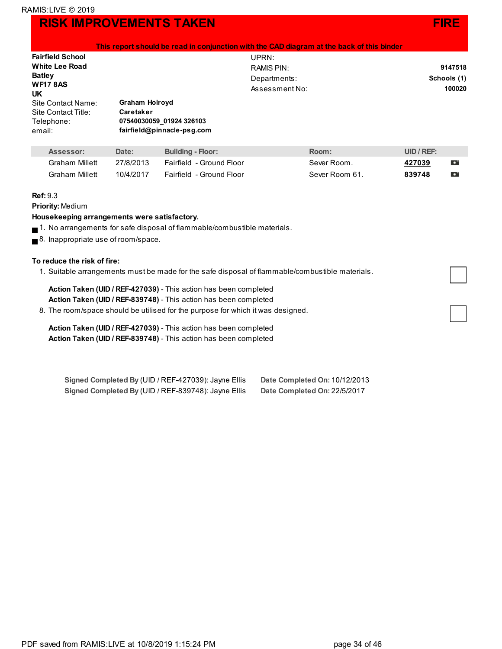

| $\,$ This report should be read in conjunction with the CAD diagram at the back of this binder $\,$ |
|-----------------------------------------------------------------------------------------------------|
|-----------------------------------------------------------------------------------------------------|

| <b>Fairfield School</b> |                            | UPRN:          |             |
|-------------------------|----------------------------|----------------|-------------|
| <b>White Lee Road</b>   |                            | RAMIS PIN:     | 9147518     |
| <b>Batley</b>           |                            | Departments:   | Schools (1) |
| <b>WF17 8AS</b><br>UK   |                            | Assessment No: | 100020      |
| Site Contact Name:      | <b>Graham Holroyd</b>      |                |             |
| Site Contact Title:     | Caretaker                  |                |             |
| Telephone:              | 07540030059 01924 326103   |                |             |
| email:                  | fairfield@pinnacle-psg.com |                |             |

| Assessor:      | Date:     | <b>Building - Floor:</b>   | Room:          | $UID / REF$ : |           |
|----------------|-----------|----------------------------|----------------|---------------|-----------|
| Graham Millett | 27/8/2013 | - Fairfield - Ground Floor | Sever Room.    | 427039        | Ð         |
| Graham Millett | 10/4/2017 | Fairfield - Ground Floor   | Sever Room 61. | 839748        | $\bullet$ |

#### **Ref:** 9.3

**Priority:** Medium

#### **Housekeeping arrangements were satisfactory.**

- $\blacksquare$  1. No arrangements for safe disposal of flammable/combustible materials.
- 8. Inappropriate use of room/space.

#### **To reduce the risk of fire:**

1. Suitable arrangements must be made for the safe disposal of flammable/combustible materials.

#### **Action Taken (UID / REF-427039)** - This action has been completed **Action Taken (UID / REF-839748)** - This action has been completed

8. The room/space should be utilised for the purpose for which it was designed.

**Action Taken (UID / REF-427039)** - This action has been completed **Action Taken (UID / REF-839748)** - This action has been completed

| Signed Completed By (UID / REF-427039): Jayne Ellis | Date Completed On: 10/12/2013 |
|-----------------------------------------------------|-------------------------------|
| Signed Completed By (UID / REF-839748): Jayne Ellis | Date Completed On: 22/5/2017  |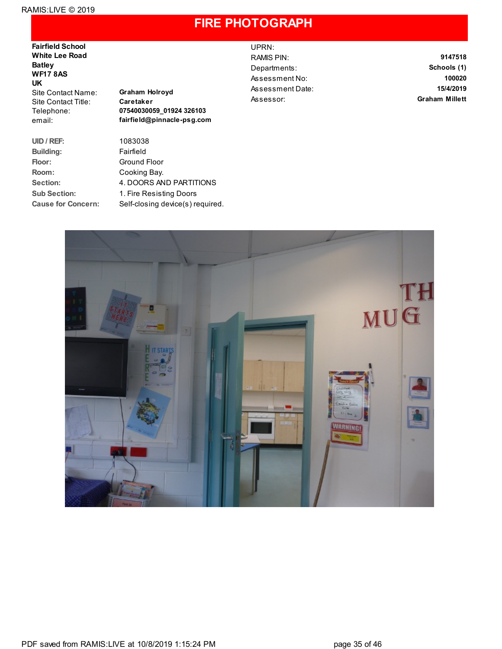### **FIRE PHOTOGRAPH**

**Fairfield School White Lee Road Batley WF17 8AS UK** Site Contact Name: **Graham Holroyd** Site Contact Title: **Caretaker**

**Building:** Fairfield

Telephone: **07540030059\_01924 326103** email: **fairfield@pinnacle-psg.com**

**UID / REF:** 1083038 Floor: **Ground Floor Room:** Cooking Bay. **Section:** 4. DOORS AND PARTITIONS **Sub Section:** 1. Fire Resisting Doors **Cause for Concern:** Self-closing device(s) required. UPRN: RAMIS PIN: **9147518** Departments: **Schools (1)** Assessment No: **100020** Assessment Date: **15/4/2019** Assessor: **Graham Millett**

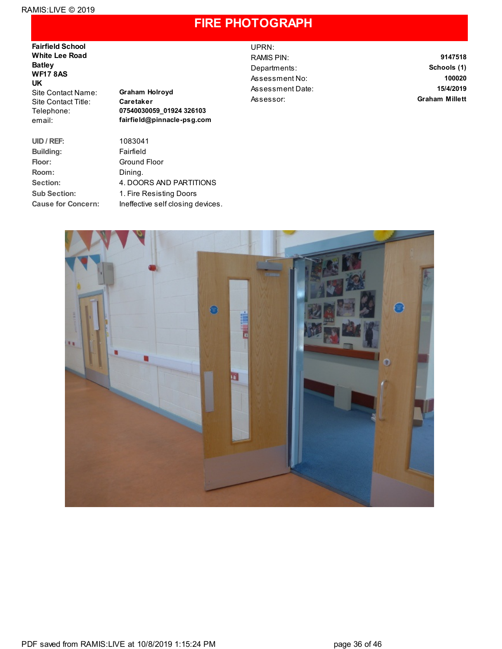### **FIRE PHOTOGRAPH**

**Fairfield School White Lee Road Batley WF17 8AS UK** Site Contact Name: **Graham Holroyd** Site Contact Title: **Caretaker**

**UID / REF:** 1083041 **Building:** Fairfield Floor: **Ground Floor Room:** Dining.

Telephone: **07540030059\_01924 326103** email: **fairfield@pinnacle-psg.com**

**Section:** 4. DOORS AND PARTITIONS **Sub Section:** 1. Fire Resisting Doors **Cause for Concern:** Ineffective self closing devices. UPRN:

RAMIS PIN: **9147518** Departments: **Schools (1)** Assessment No: **100020** Assessment Date: **15/4/2019** Assessor: **Graham Millett**

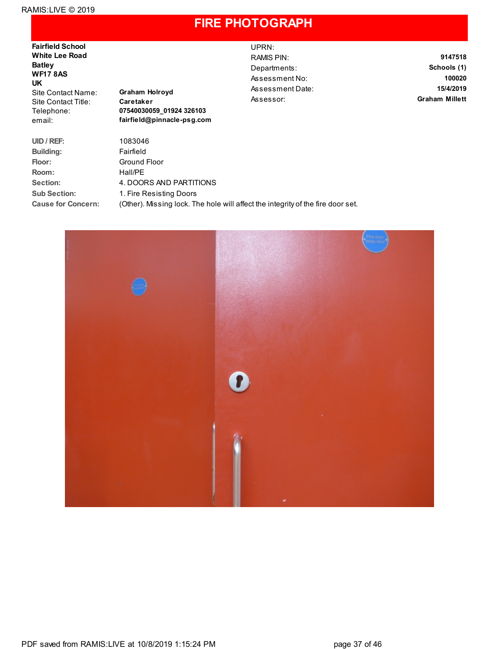### **FIRE PHOTOGRAPH**

**Fairfield School White Lee Road Batley WF17 8AS UK** Site Contact Name: **Graham Holroyd** Site Contact Title: **Caretaker**

Telephone: **07540030059\_01924 326103** email: **fairfield@pinnacle-psg.com** UPRN:

RAMIS PIN: **9147518** Departments: **Schools (1)** Assessment No: **100020** Assessment Date: **15/4/2019** Assessor: **Graham Millett**

**UID / REF:** 1083046 **Building:** Fairfield Floor: **Ground Floor Room:** Hall/PE **Section:** 4. DOORS AND PARTITIONS **Sub Section:** 1. Fire Resisting Doors **Cause for Concern:** (Other). Missing lock. The hole will affect the integrity of the fire door set.

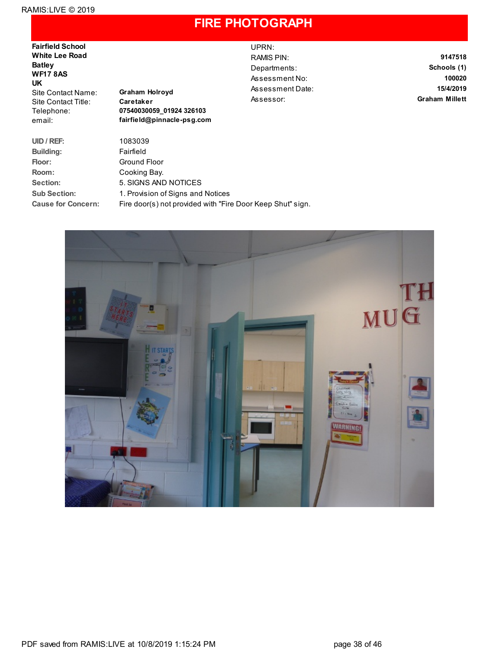### **FIRE PHOTOGRAPH**

**Fairfield School White Lee Road Batley WF17 8AS UK** Site Contact Name: **Graham Holroyd** Site Contact Title: **Caretaker**

Telephone: **07540030059\_01924 326103** email: **fairfield@pinnacle-psg.com** UPRN:

RAMIS PIN: **9147518** Departments: **Schools (1)** Assessment No: **100020** Assessment Date: **15/4/2019** Assessor: **Graham Millett**

| UID / REF:                | 1083039                                                    |
|---------------------------|------------------------------------------------------------|
| <b>Building:</b>          | Fairfield                                                  |
| Floor:                    | Ground Floor                                               |
| Room:                     | Cooking Bay.                                               |
| Section:                  | 5. SIGNS AND NOTICES                                       |
| <b>Sub Section:</b>       | 1. Provision of Signs and Notices                          |
| <b>Cause for Concern:</b> | Fire door(s) not provided with "Fire Door Keep Shut" sign. |

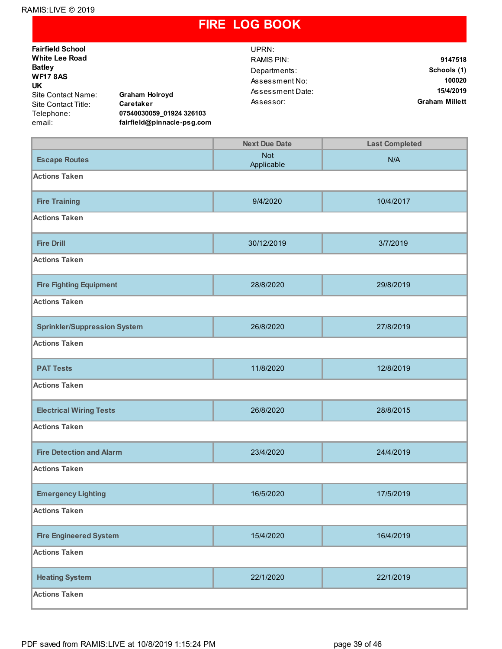### **FIRE LOG BOOK**

| <b>Fairfield School</b>                                                               |                            | UPRN:                 |             |
|---------------------------------------------------------------------------------------|----------------------------|-----------------------|-------------|
| <b>White Lee Road</b>                                                                 |                            | RAMIS PIN:            | 9147518     |
| <b>Batley</b><br><b>WF17 8AS</b><br>UK<br><b>Graham Holroyd</b><br>Site Contact Name: |                            | Departments:          | Schools (1) |
|                                                                                       |                            | Assessment No:        | 100020      |
|                                                                                       |                            | Assessment Date:      | 15/4/2019   |
| Caretaker<br>Site Contact Title:                                                      | Assessor:                  | <b>Graham Millett</b> |             |
| Telephone:                                                                            | 07540030059 01924 326103   |                       |             |
| email:                                                                                | fairfield@pinnacle-psg.com |                       |             |

|                                     | <b>Next Due Date</b>     | <b>Last Completed</b> |  |  |  |
|-------------------------------------|--------------------------|-----------------------|--|--|--|
| <b>Escape Routes</b>                | <b>Not</b><br>Applicable | N/A                   |  |  |  |
| <b>Actions Taken</b>                |                          |                       |  |  |  |
| <b>Fire Training</b>                | 9/4/2020                 | 10/4/2017             |  |  |  |
| <b>Actions Taken</b>                |                          |                       |  |  |  |
| <b>Fire Drill</b>                   | 30/12/2019               | 3/7/2019              |  |  |  |
| <b>Actions Taken</b>                |                          |                       |  |  |  |
| <b>Fire Fighting Equipment</b>      | 28/8/2020                | 29/8/2019             |  |  |  |
| <b>Actions Taken</b>                |                          |                       |  |  |  |
| <b>Sprinkler/Suppression System</b> | 26/8/2020                | 27/8/2019             |  |  |  |
| <b>Actions Taken</b>                |                          |                       |  |  |  |
| <b>PAT Tests</b>                    | 11/8/2020                | 12/8/2019             |  |  |  |
| <b>Actions Taken</b>                |                          |                       |  |  |  |
| <b>Electrical Wiring Tests</b>      | 26/8/2020                | 28/8/2015             |  |  |  |
| <b>Actions Taken</b>                |                          |                       |  |  |  |
| <b>Fire Detection and Alarm</b>     | 23/4/2020                | 24/4/2019             |  |  |  |
| <b>Actions Taken</b>                |                          |                       |  |  |  |
| <b>Emergency Lighting</b>           | 16/5/2020                | 17/5/2019             |  |  |  |
| <b>Actions Taken</b>                |                          |                       |  |  |  |
| <b>Fire Engineered System</b>       | 15/4/2020                | 16/4/2019             |  |  |  |
| <b>Actions Taken</b>                |                          |                       |  |  |  |
| <b>Heating System</b>               | 22/1/2020                | 22/1/2019             |  |  |  |
| <b>Actions Taken</b>                |                          |                       |  |  |  |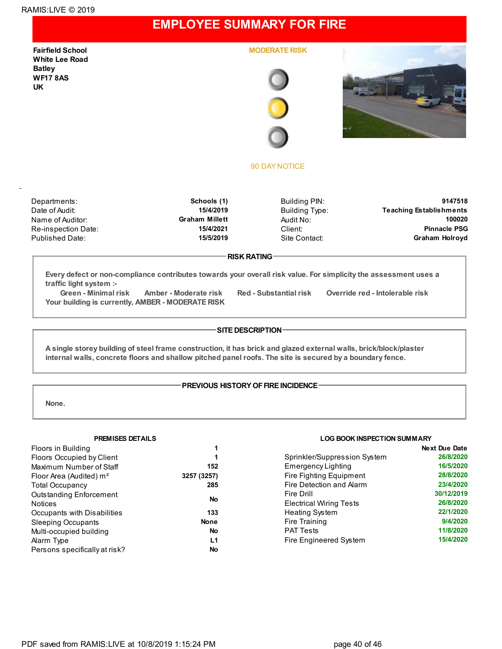### **EMPLOYEE SUMMARY FOR FIRE**

**Fairfield School White Lee Road Batley WF17 8AS UK**

**MODERATE RISK**





#### 90 DAY NOTICE

Re-inspection Date: **15/4/2021** Client:

Departments: **Schools (1)** Building PIN: **9147518** Date of Audit: **15/4/2019 Building Type:** Teaching Establishments Name of Auditor: **Graham Millett** Audit No: **100020** Published Date: **15/5/2019** Site Contact: **Graham Holroyd**

#### **RISK RATING**

**Every defect or non-compliance contributes towards your overall risk value. For simplicity the assessment uses a traffic light system :-**

**Green - Minimal risk Amber - Moderate risk Red - Substantial risk Override red - Intolerable risk Your building is currently, AMBER - MODERATE RISK**

#### **SITE DESCRIPTION**

A single storey building of steel frame construction, it has brick and glazed external walls, brick/block/plaster **internal walls, concrete floors and shallow pitched panel roofs. The site is secured by a boundary fence.**

#### **PREVIOUS HISTORY OF FIRE INCIDENCE-**

**None.**

| Floors in Building                  | 1           |
|-------------------------------------|-------------|
| <b>Floors Occupied by Client</b>    | 1           |
| Maximum Number of Staff             | 152         |
| Floor Area (Audited) m <sup>2</sup> | 3257 (3257) |
| <b>Total Occupancy</b>              | 285         |
| <b>Outstanding Enforcement</b>      | No          |
| <b>Notices</b>                      |             |
| Occupants with Disabilities         | 133         |
| <b>Sleeping Occupants</b>           | <b>None</b> |
| Multi-occupied building             | No          |
| Alarm Type                          | L1          |
| Persons specifically at risk?       | No          |

#### **PREMISES DETAILS LOG BOOK INSPECTION SUMMARY**

|                                | <b>Next Due Date</b> |
|--------------------------------|----------------------|
| Sprinkler/Suppression System   | 26/8/2020            |
| Emergency Lighting             | 16/5/2020            |
| <b>Fire Fighting Equipment</b> | 28/8/2020            |
| Fire Detection and Alarm       | 23/4/2020            |
| Fire Drill                     | 30/12/2019           |
| <b>Electrical Wiring Tests</b> | 26/8/2020            |
| <b>Heating System</b>          | 22/1/2020            |
| Fire Training                  | 9/4/2020             |
| <b>PAT Tests</b>               | 11/8/2020            |
| Fire Engineered System         | 15/4/2020            |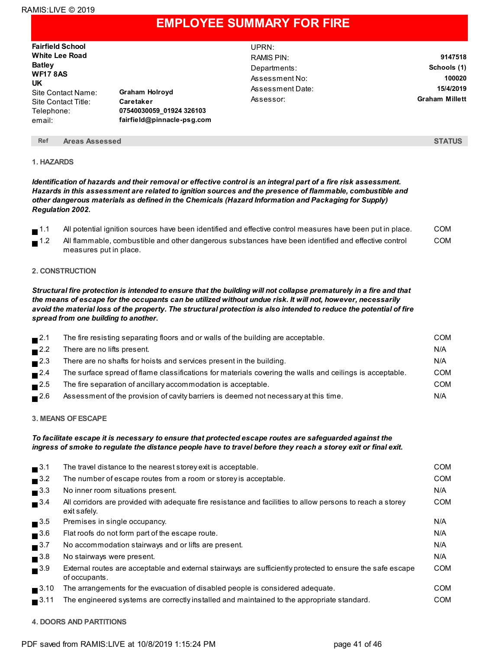### **EMPLOYEE SUMMARY FOR FIRE**

| <b>Fairfield School</b>                                                 |                                                                     | UPRN:            |                       |
|-------------------------------------------------------------------------|---------------------------------------------------------------------|------------------|-----------------------|
| <b>White Lee Road</b>                                                   |                                                                     | RAMIS PIN:       | 9147518               |
| <b>Batley</b>                                                           |                                                                     | Departments:     | Schools (1)           |
| <b>WF17 8AS</b>                                                         |                                                                     | Assessment No:   | 100020                |
| UK<br>Site Contact Name:<br>Site Contact Title:<br>Telephone:<br>email: | <b>Graham Holroyd</b>                                               | Assessment Date: | 15/4/2019             |
|                                                                         | Caretaker<br>07540030059 01924 326103<br>fairfield@pinnacle-psg.com | Assessor:        | <b>Graham Millett</b> |

#### **Ref Areas Assessed STATUS**

#### **1. HAZARDS**

Identification of hazards and their removal or effective control is an integral part of a fire risk assessment. *Hazards in this assessment are related to ignition sources and the presence of flammable, combustible and other dangerous materials as defined in the Chemicals (Hazard Information and Packaging for Supply) Regulation 2002.*

|        | All potential ignition sources have been identified and effective control measures have been put in place. | COM |
|--------|------------------------------------------------------------------------------------------------------------|-----|
| $-1.2$ | All flammable, combustible and other dangerous substances have been identified and effective control       | COM |

#### **2. CONSTRUCTION**

measures put in place.

Structural fire protection is intended to ensure that the building will not collapse prematurely in a fire and that the means of escape for the occupants can be utilized without undue risk. It will not, however, necessarily avoid the material loss of the property. The structural protection is also intended to reduce the potential of fire *spread from one building to another.*

| $\blacksquare$ 2.1 | The fire resisting separating floors and or walls of the building are acceptable.                        | COM        |
|--------------------|----------------------------------------------------------------------------------------------------------|------------|
| $\blacksquare$ 2.2 | There are no lifts present.                                                                              | N/A        |
| $\blacksquare$ 2.3 | There are no shafts for hoists and services present in the building.                                     | N/A        |
| $\blacksquare$ 2.4 | The surface spread of flame classifications for materials covering the walls and ceilings is acceptable. | <b>COM</b> |
| $\blacksquare$ 2.5 | The fire separation of ancillary accommodation is acceptable.                                            | <b>COM</b> |
| $\blacksquare$ 2.6 | Assessment of the provision of cavity barriers is deemed not necessary at this time.                     | N/A        |

#### **3. MEANS OFESCAPE**

#### *To facilitate escape it is necessary to ensure that protected escape routes are safeguarded against the* ingress of smoke to regulate the distance people have to travel before they reach a storey exit or final exit.

| $\blacksquare$ <sup>3.1</sup>  | The travel distance to the nearest storey exit is acceptable.                                                               | <b>COM</b> |
|--------------------------------|-----------------------------------------------------------------------------------------------------------------------------|------------|
| $\blacksquare$ <sup>3.2</sup>  | The number of escape routes from a room or storey is acceptable.                                                            | <b>COM</b> |
| $\blacksquare$ <sup>3.3</sup>  | No inner room situations present.                                                                                           | N/A        |
| $\blacksquare$ <sup>3.4</sup>  | All corridors are provided with adequate fire resistance and facilities to allow persons to reach a storey<br>exit safely.  | <b>COM</b> |
| $\blacksquare$ <sup>3.5</sup>  | Premises in single occupancy.                                                                                               | N/A        |
| $\blacksquare$ <sup>3.6</sup>  | Flat roofs do not form part of the escape route.                                                                            | N/A        |
| $\blacksquare$ <sup>3.7</sup>  | No accommodation stairways and or lifts are present.                                                                        | N/A        |
| $\blacksquare$ <sup>3.8</sup>  | No stairways were present.                                                                                                  | N/A        |
| $\blacksquare$ <sup>3.9</sup>  | External routes are acceptable and external stairways are sufficiently protected to ensure the safe escape<br>of occupants. | <b>COM</b> |
| $\blacksquare$ <sup>3.10</sup> | The arrangements for the evacuation of disabled people is considered adequate.                                              | <b>COM</b> |
| $\blacksquare$ 3.11            | The engineered systems are correctly installed and maintained to the appropriate standard.                                  | <b>COM</b> |
|                                |                                                                                                                             |            |

#### **4. DOORS AND PARTITIONS**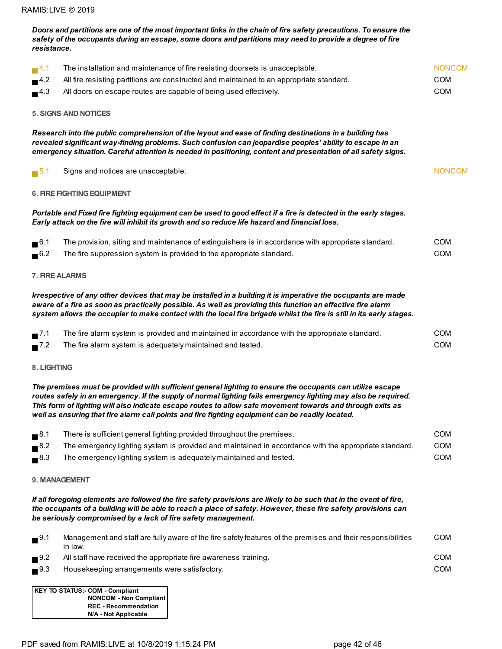| resistance.                   | safety of the occupants during an escape, some doors and partitions may need to provide a degree of fire                                                                                                                                                                                                                                                                                                                                      |               |
|-------------------------------|-----------------------------------------------------------------------------------------------------------------------------------------------------------------------------------------------------------------------------------------------------------------------------------------------------------------------------------------------------------------------------------------------------------------------------------------------|---------------|
| $\blacksquare$ <sup>4.1</sup> | The installation and maintenance of fire resisting doorsets is unacceptable.                                                                                                                                                                                                                                                                                                                                                                  | <b>NONCOM</b> |
| 4.2                           | All fire resisting partitions are constructed and maintained to an appropriate standard.                                                                                                                                                                                                                                                                                                                                                      | <b>COM</b>    |
| $\blacksquare$ <sup>4.3</sup> | All doors on escape routes are capable of being used effectively.                                                                                                                                                                                                                                                                                                                                                                             | COM           |
|                               | <b>5. SIGNS AND NOTICES</b>                                                                                                                                                                                                                                                                                                                                                                                                                   |               |
|                               | Research into the public comprehension of the layout and ease of finding destinations in a building has<br>revealed significant way-finding problems. Such confusion can jeopardise peoples' ability to escape in an<br>emergency situation. Careful attention is needed in positioning, content and presentation of all safety signs.                                                                                                        |               |
| $\blacksquare$ 5.1            | Signs and notices are unacceptable.                                                                                                                                                                                                                                                                                                                                                                                                           | <b>NONCOM</b> |
|                               | <b>6. FIRE FIGHTING EQUIPMENT</b>                                                                                                                                                                                                                                                                                                                                                                                                             |               |
|                               | Portable and Fixed fire fighting equipment can be used to good effect if a fire is detected in the early stages.<br>Early attack on the fire will inhibit its growth and so reduce life hazard and financial loss.                                                                                                                                                                                                                            |               |
| $\blacksquare$ <sup>6.1</sup> | The provision, siting and maintenance of extinguishers is in accordance with appropriate standard.                                                                                                                                                                                                                                                                                                                                            | <b>COM</b>    |
| $\blacksquare$ <sup>6.2</sup> | The fire suppression system is provided to the appropriate standard.                                                                                                                                                                                                                                                                                                                                                                          | COM           |
|                               | 7. FIRE ALARMS                                                                                                                                                                                                                                                                                                                                                                                                                                |               |
|                               | Irrespective of any other devices that may be installed in a building it is imperative the occupants are made<br>aware of a fire as soon as practically possible. As well as providing this function an effective fire alarm<br>system allows the occupier to make contact with the local fire brigade whilst the fire is still in its early stages.                                                                                          |               |
| $\blacksquare$ 7.1            | The fire alarm system is provided and maintained in accordance with the appropriate standard.                                                                                                                                                                                                                                                                                                                                                 | <b>COM</b>    |
| $\blacksquare$ <sup>7.2</sup> | The fire alarm system is adequately maintained and tested.                                                                                                                                                                                                                                                                                                                                                                                    | <b>COM</b>    |
| 8. LIGHTING                   |                                                                                                                                                                                                                                                                                                                                                                                                                                               |               |
|                               | The premises must be provided with sufficient general lighting to ensure the occupants can utilize escape<br>routes safely in an emergency. If the supply of normal lighting fails emergency lighting may also be required.<br>This form of lighting will also indicate escape routes to allow safe movement towards and through exits as<br>well as ensuring that fire alarm call points and fire fighting equipment can be readily located. |               |
| $\blacksquare$ <sup>8.1</sup> | There is sufficient general lighting provided throughout the premises.                                                                                                                                                                                                                                                                                                                                                                        | <b>COM</b>    |
| $\blacksquare$ <sup>8.2</sup> | The emergency lighting system is provided and maintained in accordance with the appropriate standard.                                                                                                                                                                                                                                                                                                                                         | <b>COM</b>    |
| $\blacksquare$ <sup>8.3</sup> | The emergency lighting system is adequately maintained and tested.                                                                                                                                                                                                                                                                                                                                                                            | COM           |
|                               | 9. MANAGEMENT                                                                                                                                                                                                                                                                                                                                                                                                                                 |               |
|                               | If all foregoing elements are followed the fire safety provisions are likely to be such that in the event of fire,<br>the occupants of a building will be able to reach a place of safety. However, these fire safety provisions can<br>be seriously compromised by a lack of fire safety management.                                                                                                                                         |               |
| $\blacksquare$ <sup>9.1</sup> | Management and staff are fully aware of the fire safety features of the premises and their responsibilities<br>in law.                                                                                                                                                                                                                                                                                                                        | <b>COM</b>    |
| $\blacksquare$ 9.2            | All staff have received the appropriate fire awareness training.                                                                                                                                                                                                                                                                                                                                                                              | <b>COM</b>    |
| $\blacksquare$ <sup>9.3</sup> | Housekeeping arrangements were satisfactory.                                                                                                                                                                                                                                                                                                                                                                                                  | <b>COM</b>    |
|                               | <b>KEY TO STATUS:- COM - Compliant</b><br><b>NONCOM - Non Compliant</b><br><b>REC - Recommendation</b>                                                                                                                                                                                                                                                                                                                                        |               |

Doors and partitions are one of the most important links in the chain of fire safety precautions. To ensure the

PDF saved from RAMIS:LIVE at 10/8/2019 1:15:24 PM page 42 of 46

**N/A - Not Applicable**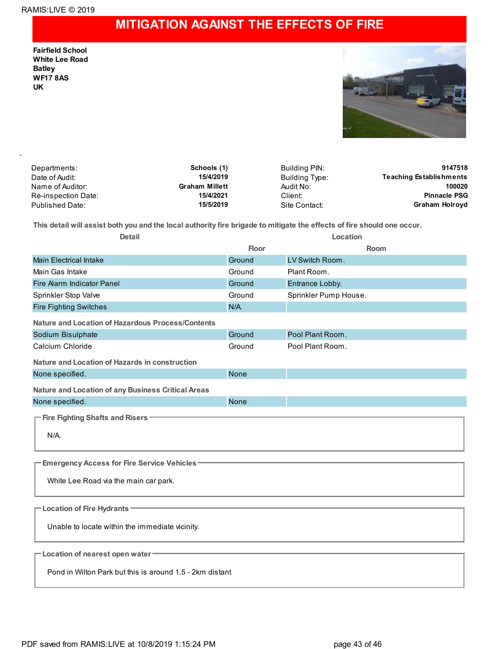## **MITIGATION AGAINST THE EFFECTS OF FIRE**

**Fairfield School White Lee Road Batley WF17 8AS UK**



| Departments:        | Schools (1)           | Building PIN:  | 9147518                        |
|---------------------|-----------------------|----------------|--------------------------------|
| Date of Audit:      | 15/4/2019             | Building Type: | <b>Teaching Establishments</b> |
| Name of Auditor:    | <b>Graham Millett</b> | Audit No:      | 100020                         |
| Re-inspection Date: | 15/4/2021             | Client:        | <b>Pinnacle PSG</b>            |
| Published Date:     | 15/5/2019             | Site Contact:  | Graham Holroyd                 |

This detail will assist both you and the local authority fire brigade to mitigate the effects of fire should one occur.

| <b>Detail</b>                                            | Location    |                       |  |  |  |  |
|----------------------------------------------------------|-------------|-----------------------|--|--|--|--|
|                                                          | Floor       | Room                  |  |  |  |  |
| <b>Main Electrical Intake</b>                            | Ground      | LV Switch Room.       |  |  |  |  |
| Main Gas Intake                                          | Ground      | Plant Room.           |  |  |  |  |
| Fire Alarm Indicator Panel                               | Ground      | Entrance Lobby.       |  |  |  |  |
| Sprinkler Stop Valve                                     | Ground      | Sprinkler Pump House. |  |  |  |  |
| <b>Fire Fighting Switches</b>                            | $N/A$ .     |                       |  |  |  |  |
| Nature and Location of Hazardous Process/Contents        |             |                       |  |  |  |  |
| Sodium Bisulphate                                        | Ground      | Pool Plant Room.      |  |  |  |  |
| Calcium Chloride                                         | Ground      | Pool Plant Room.      |  |  |  |  |
| <b>Nature and Location of Hazards in construction</b>    |             |                       |  |  |  |  |
| None specified.                                          | <b>None</b> |                       |  |  |  |  |
| Nature and Location of any Business Critical Areas       |             |                       |  |  |  |  |
| None specified.                                          | <b>None</b> |                       |  |  |  |  |
| - Fire Fighting Shafts and Risers <sup>-</sup>           |             |                       |  |  |  |  |
| $N/A$ .                                                  |             |                       |  |  |  |  |
|                                                          |             |                       |  |  |  |  |
|                                                          |             |                       |  |  |  |  |
| <b>Emergency Access for Fire Service Vehicles -</b>      |             |                       |  |  |  |  |
| White Lee Road via the main car park.                    |             |                       |  |  |  |  |
|                                                          |             |                       |  |  |  |  |
| - Location of Fire Hydrants                              |             |                       |  |  |  |  |
|                                                          |             |                       |  |  |  |  |
| Unable to locate within the immediate vicinity.          |             |                       |  |  |  |  |
|                                                          |             |                       |  |  |  |  |
| -Location of nearest open water                          |             |                       |  |  |  |  |
| Pond in Wilton Park but this is around 1.5 - 2km distant |             |                       |  |  |  |  |
|                                                          |             |                       |  |  |  |  |
|                                                          |             |                       |  |  |  |  |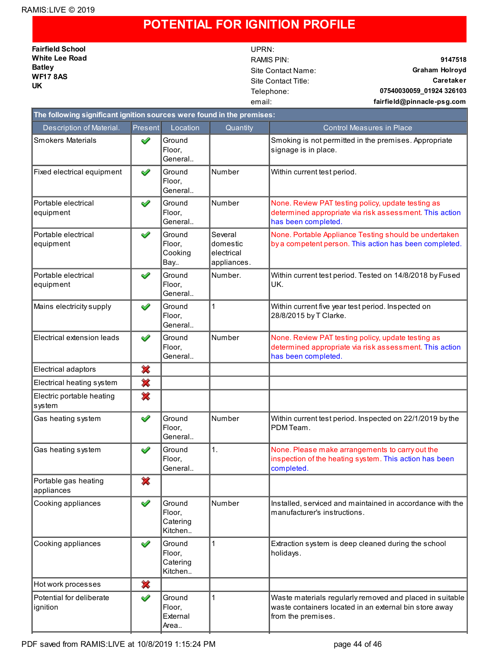### **POTENTIAL FOR IGNITION PROFILE**

**Fairfield School White Lee Road Batley WF17 8AS UK**

# UPRN:

RAMIS PIN: **9147518** Site Contact Name: **Graham Holroyd** Site Contact Title: **Caretaker** Telephone: **07540030059\_01924 326103** email: **fairfield@pinnacle-psg.com**

|                                      | The following significant ignition sources were found in the premises: |                                         |                                                  |                                                                                                                                          |  |  |  |
|--------------------------------------|------------------------------------------------------------------------|-----------------------------------------|--------------------------------------------------|------------------------------------------------------------------------------------------------------------------------------------------|--|--|--|
| Description of Material.             | <b>Present</b>                                                         | Location                                | Quantity                                         | <b>Control Measures in Place</b>                                                                                                         |  |  |  |
| <b>Smokers Materials</b>             | ✔                                                                      | Ground<br>Floor,<br>General             |                                                  | Smoking is not permitted in the premises. Appropriate<br>signage is in place.                                                            |  |  |  |
| Fixed electrical equipment           | ✔                                                                      | Ground<br>Floor,<br>General             | Number                                           | Within current test period.                                                                                                              |  |  |  |
| Portable electrical<br>equipment     | ✔                                                                      | Ground<br>Floor.<br>General             | Number                                           | None. Review PAT testing policy, update testing as<br>determined appropriate via risk assessment. This action<br>has been completed.     |  |  |  |
| Portable electrical<br>equipment     | ✔                                                                      | Ground<br>Floor,<br>Cooking<br>Bay      | Several<br>domestic<br>electrical<br>appliances. | None. Portable Appliance Testing should be undertaken<br>by a competent person. This action has been completed.                          |  |  |  |
| Portable electrical<br>equipment     | ✔                                                                      | Ground<br>Floor,<br>General             | Number.                                          | Within current test period. Tested on 14/8/2018 by Fused<br>UK.                                                                          |  |  |  |
| Mains electricity supply             | ✔                                                                      | Ground<br>Floor.<br>General             | $\mathbf{1}$                                     | Within current five year test period. Inspected on<br>28/8/2015 by T Clarke.                                                             |  |  |  |
| Electrical extension leads           | ✔                                                                      | Ground<br>Floor,<br>General             | Number                                           | None. Review PAT testing policy, update testing as<br>determined appropriate via risk assessment. This action<br>has been completed.     |  |  |  |
| Electrical adaptors                  | ×                                                                      |                                         |                                                  |                                                                                                                                          |  |  |  |
| Electrical heating system            | ×                                                                      |                                         |                                                  |                                                                                                                                          |  |  |  |
| Electric portable heating<br>system  | ×                                                                      |                                         |                                                  |                                                                                                                                          |  |  |  |
| Gas heating system                   | ✔                                                                      | Ground<br>Floor,<br>General             | Number                                           | Within current test period. Inspected on 22/1/2019 by the<br>PDM Team.                                                                   |  |  |  |
| Gas heating system                   | ✔                                                                      | Ground<br>Floor,<br>General             | 1.                                               | None. Please make arrangements to carry out the<br>inspection of the heating system. This action has been<br>completed.                  |  |  |  |
| Portable gas heating<br>appliances   | ×                                                                      |                                         |                                                  |                                                                                                                                          |  |  |  |
| Cooking appliances                   | ✔                                                                      | Ground<br>Floor,<br>Catering<br>Kitchen | Number                                           | Installed, serviced and maintained in accordance with the<br>manufacturer's instructions.                                                |  |  |  |
| Cooking appliances                   | ✔                                                                      | Ground<br>Floor,<br>Catering<br>Kitchen | 1                                                | Extraction system is deep cleaned during the school<br>holidays.                                                                         |  |  |  |
| Hot work processes                   | ×                                                                      |                                         |                                                  |                                                                                                                                          |  |  |  |
| Potential for deliberate<br>ignition | ✔                                                                      | Ground<br>Floor,<br>External<br>Area    | 1                                                | Waste materials regularly removed and placed in suitable<br>waste containers located in an external bin store away<br>from the premises. |  |  |  |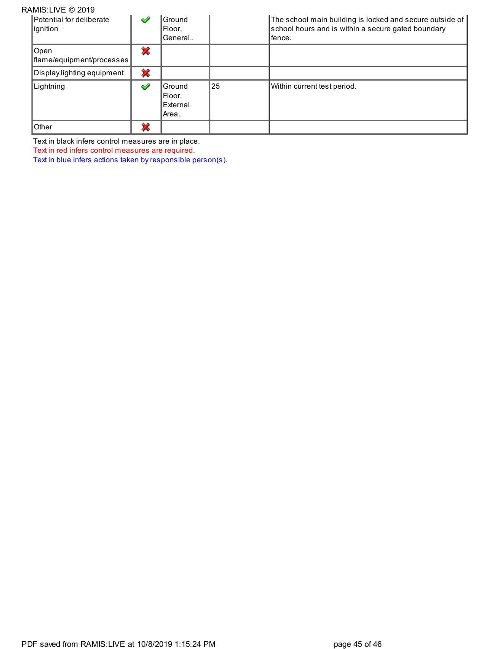| RAMIS:LIVE © 2019                    |   |                                      |    |                                                                                                                          |
|--------------------------------------|---|--------------------------------------|----|--------------------------------------------------------------------------------------------------------------------------|
| Potential for deliberate<br>ignition | ✔ | Ground<br>Floor.<br>General          |    | The school main building is locked and secure outside of<br>school hours and is within a secure gated boundary<br>fence. |
| Open<br>flame/equipment/processes    | ∞ |                                      |    |                                                                                                                          |
| Display lighting equipment           | × |                                      |    |                                                                                                                          |
| Lightning                            | ✔ | Ground<br>Floor.<br>External<br>Area | 25 | Within current test period.                                                                                              |
| Other                                | չ |                                      |    |                                                                                                                          |

Text in black infers control measures are in place.

Text in red infers control measures are required.

Text in blue infers actions taken by responsible person(s).